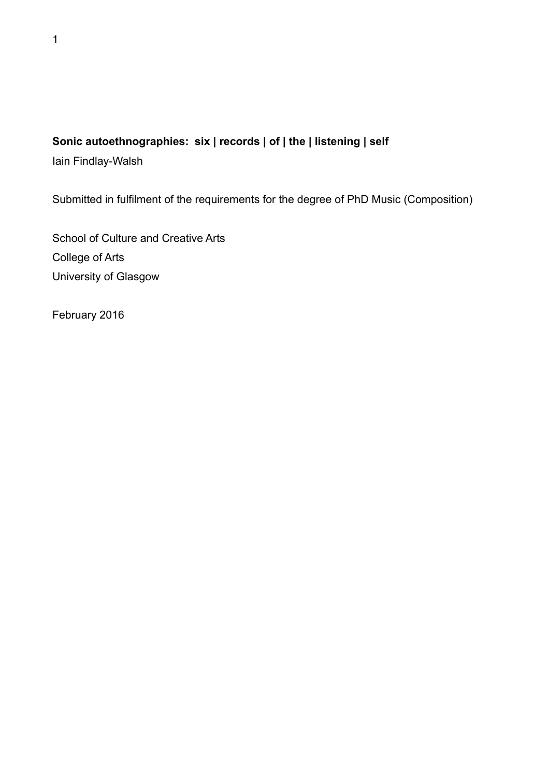## **Sonic autoethnographies: six | records | of | the | listening | self**

Iain Findlay-Walsh

Submitted in fulfilment of the requirements for the degree of PhD Music (Composition)

School of Culture and Creative Arts College of Arts University of Glasgow

February 2016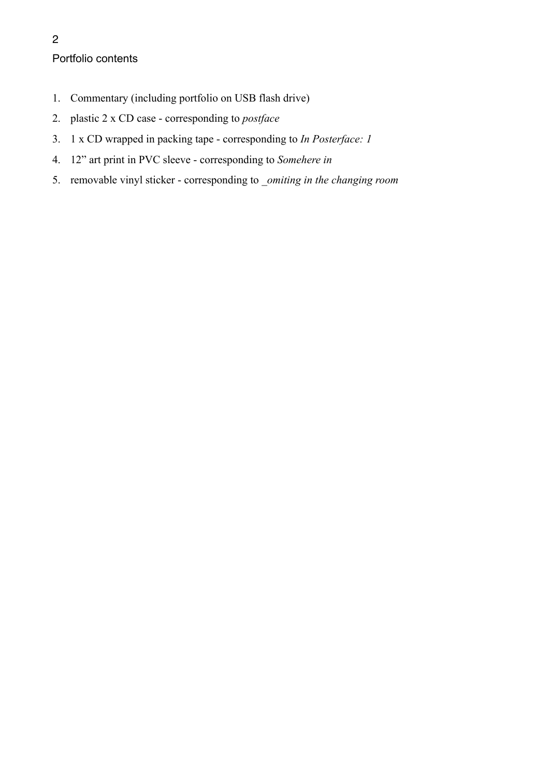# Portfolio contents

- 1. Commentary (including portfolio on USB flash drive)
- 2. plastic 2 x CD case corresponding to *postface*
- 3. 1 x CD wrapped in packing tape corresponding to *In Posterface: 1*
- 4. 12" art print in PVC sleeve corresponding to *Somehere in*
- 5. removable vinyl sticker corresponding to *\_omiting in the changing room*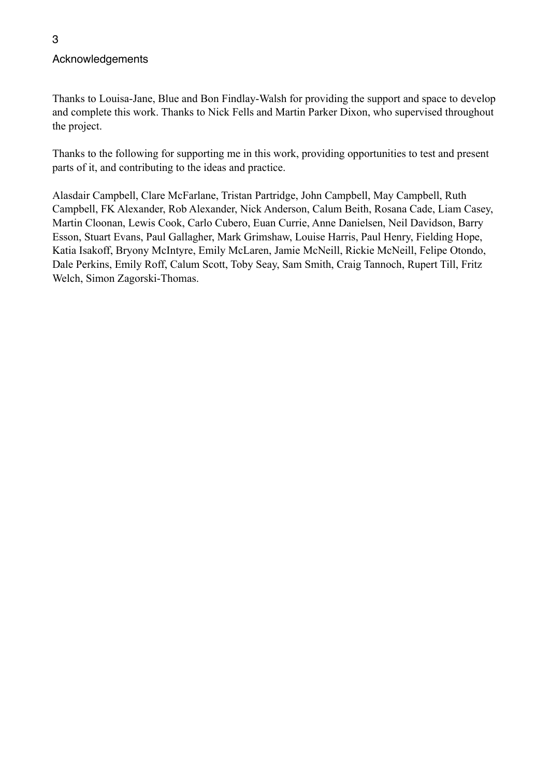## Acknowledgements

Thanks to Louisa-Jane, Blue and Bon Findlay-Walsh for providing the support and space to develop and complete this work. Thanks to Nick Fells and Martin Parker Dixon, who supervised throughout the project.

Thanks to the following for supporting me in this work, providing opportunities to test and present parts of it, and contributing to the ideas and practice.

Alasdair Campbell, Clare McFarlane, Tristan Partridge, John Campbell, May Campbell, Ruth Campbell, FK Alexander, Rob Alexander, Nick Anderson, Calum Beith, Rosana Cade, Liam Casey, Martin Cloonan, Lewis Cook, Carlo Cubero, Euan Currie, Anne Danielsen, Neil Davidson, Barry Esson, Stuart Evans, Paul Gallagher, Mark Grimshaw, Louise Harris, Paul Henry, Fielding Hope, Katia Isakoff, Bryony McIntyre, Emily McLaren, Jamie McNeill, Rickie McNeill, Felipe Otondo, Dale Perkins, Emily Roff, Calum Scott, Toby Seay, Sam Smith, Craig Tannoch, Rupert Till, Fritz Welch, Simon Zagorski-Thomas.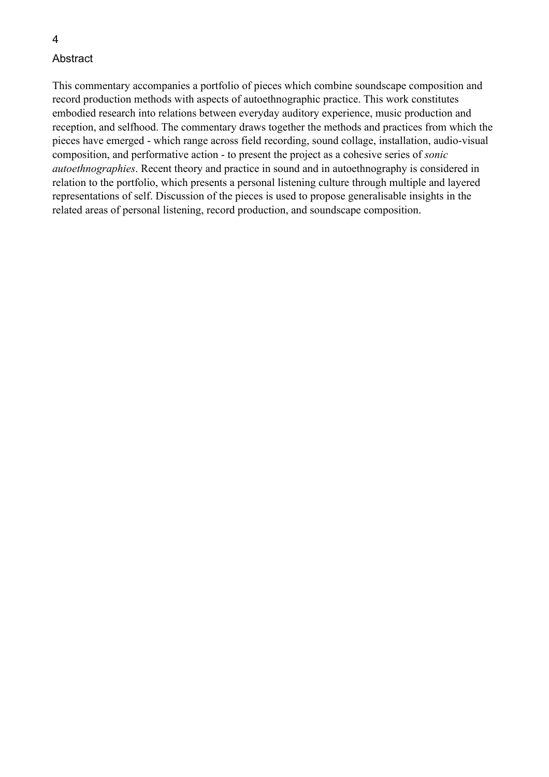### Abstract

This commentary accompanies a portfolio of pieces which combine soundscape composition and record production methods with aspects of autoethnographic practice. This work constitutes embodied research into relations between everyday auditory experience, music production and reception, and selfhood. The commentary draws together the methods and practices from which the pieces have emerged - which range across field recording, sound collage, installation, audio-visual composition, and performative action - to present the project as a cohesive series of *sonic autoethnographies*. Recent theory and practice in sound and in autoethnography is considered in relation to the portfolio, which presents a personal listening culture through multiple and layered representations of self. Discussion of the pieces is used to propose generalisable insights in the related areas of personal listening, record production, and soundscape composition.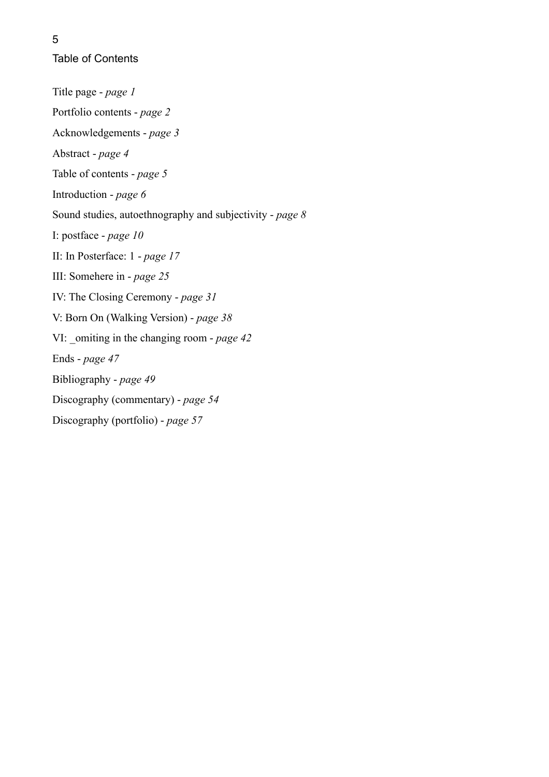Table of Contents

Title page - *page 1* Portfolio contents - *page 2*  Acknowledgements - *page 3* Abstract - *page 4* Table of contents - *page 5* Introduction - *page 6* Sound studies, autoethnography and subjectivity - *page 8* I: postface - *page 10* II: In Posterface: 1 - *page 17* III: Somehere in - *page 25* IV: The Closing Ceremony - *page 31* V: Born On (Walking Version) - *page 38* VI: \_omiting in the changing room - *page 42* Ends - *page 47* Bibliography - *page 49* Discography (commentary) - *page 54* Discography (portfolio) - *page 57*

5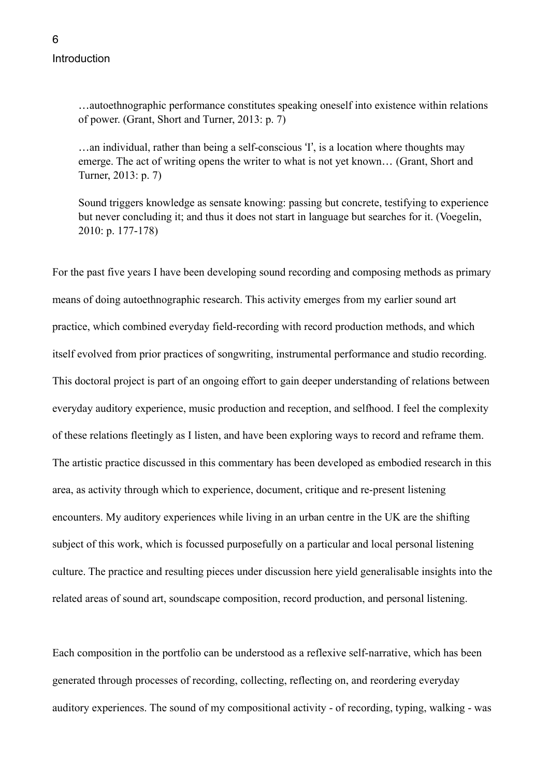…autoethnographic performance constitutes speaking oneself into existence within relations of power. (Grant, Short and Turner, 2013: p. 7)

…an individual, rather than being a self-conscious 'I', is a location where thoughts may emerge. The act of writing opens the writer to what is not yet known… (Grant, Short and Turner, 2013: p. 7)

 Sound triggers knowledge as sensate knowing: passing but concrete, testifying to experience but never concluding it; and thus it does not start in language but searches for it. (Voegelin, 2010: p. 177-178)

For the past five years I have been developing sound recording and composing methods as primary means of doing autoethnographic research. This activity emerges from my earlier sound art practice, which combined everyday field-recording with record production methods, and which itself evolved from prior practices of songwriting, instrumental performance and studio recording. This doctoral project is part of an ongoing effort to gain deeper understanding of relations between everyday auditory experience, music production and reception, and selfhood. I feel the complexity of these relations fleetingly as I listen, and have been exploring ways to record and reframe them. The artistic practice discussed in this commentary has been developed as embodied research in this area, as activity through which to experience, document, critique and re-present listening encounters. My auditory experiences while living in an urban centre in the UK are the shifting subject of this work, which is focussed purposefully on a particular and local personal listening culture. The practice and resulting pieces under discussion here yield generalisable insights into the related areas of sound art, soundscape composition, record production, and personal listening.

Each composition in the portfolio can be understood as a reflexive self-narrative, which has been generated through processes of recording, collecting, reflecting on, and reordering everyday auditory experiences. The sound of my compositional activity - of recording, typing, walking - was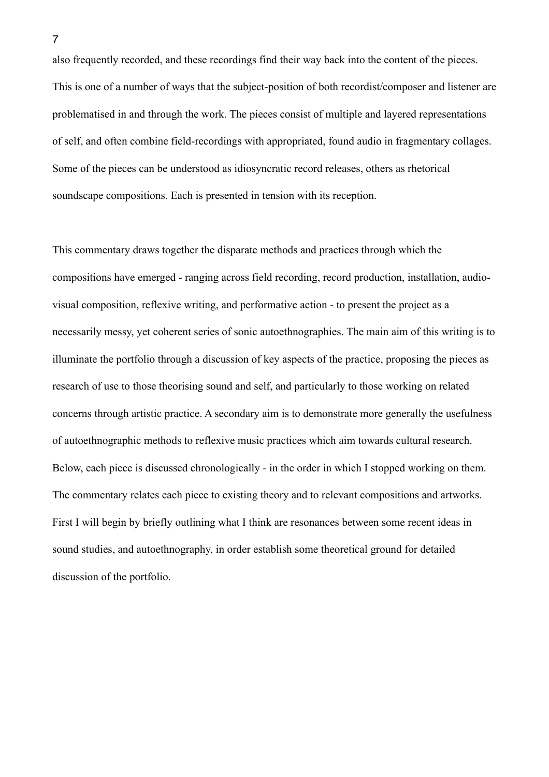also frequently recorded, and these recordings find their way back into the content of the pieces. This is one of a number of ways that the subject-position of both recordist/composer and listener are problematised in and through the work. The pieces consist of multiple and layered representations of self, and often combine field-recordings with appropriated, found audio in fragmentary collages. Some of the pieces can be understood as idiosyncratic record releases, others as rhetorical soundscape compositions. Each is presented in tension with its reception.

This commentary draws together the disparate methods and practices through which the compositions have emerged - ranging across field recording, record production, installation, audiovisual composition, reflexive writing, and performative action - to present the project as a necessarily messy, yet coherent series of sonic autoethnographies. The main aim of this writing is to illuminate the portfolio through a discussion of key aspects of the practice, proposing the pieces as research of use to those theorising sound and self, and particularly to those working on related concerns through artistic practice. A secondary aim is to demonstrate more generally the usefulness of autoethnographic methods to reflexive music practices which aim towards cultural research. Below, each piece is discussed chronologically - in the order in which I stopped working on them. The commentary relates each piece to existing theory and to relevant compositions and artworks. First I will begin by briefly outlining what I think are resonances between some recent ideas in sound studies, and autoethnography, in order establish some theoretical ground for detailed discussion of the portfolio.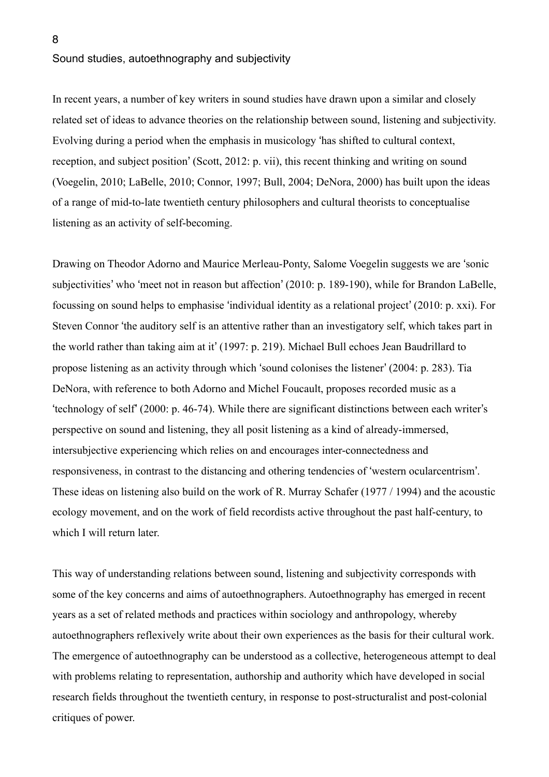In recent years, a number of key writers in sound studies have drawn upon a similar and closely related set of ideas to advance theories on the relationship between sound, listening and subjectivity. Evolving during a period when the emphasis in musicology 'has shifted to cultural context, reception, and subject position' (Scott, 2012: p. vii), this recent thinking and writing on sound (Voegelin, 2010; LaBelle, 2010; Connor, 1997; Bull, 2004; DeNora, 2000) has built upon the ideas of a range of mid-to-late twentieth century philosophers and cultural theorists to conceptualise listening as an activity of self-becoming.

Drawing on Theodor Adorno and Maurice Merleau-Ponty, Salome Voegelin suggests we are 'sonic subjectivities' who 'meet not in reason but affection' (2010: p. 189-190), while for Brandon LaBelle, focussing on sound helps to emphasise 'individual identity as a relational project' (2010: p. xxi). For Steven Connor 'the auditory self is an attentive rather than an investigatory self, which takes part in the world rather than taking aim at it' (1997: p. 219). Michael Bull echoes Jean Baudrillard to propose listening as an activity through which 'sound colonises the listener' (2004: p. 283). Tia DeNora, with reference to both Adorno and Michel Foucault, proposes recorded music as a 'technology of self' (2000: p. 46-74). While there are significant distinctions between each writer's perspective on sound and listening, they all posit listening as a kind of already-immersed, intersubjective experiencing which relies on and encourages inter-connectedness and responsiveness, in contrast to the distancing and othering tendencies of 'western ocularcentrism'. These ideas on listening also build on the work of R. Murray Schafer (1977 / 1994) and the acoustic ecology movement, and on the work of field recordists active throughout the past half-century, to which I will return later.

This way of understanding relations between sound, listening and subjectivity corresponds with some of the key concerns and aims of autoethnographers. Autoethnography has emerged in recent years as a set of related methods and practices within sociology and anthropology, whereby autoethnographers reflexively write about their own experiences as the basis for their cultural work. The emergence of autoethnography can be understood as a collective, heterogeneous attempt to deal with problems relating to representation, authorship and authority which have developed in social research fields throughout the twentieth century, in response to post-structuralist and post-colonial critiques of power.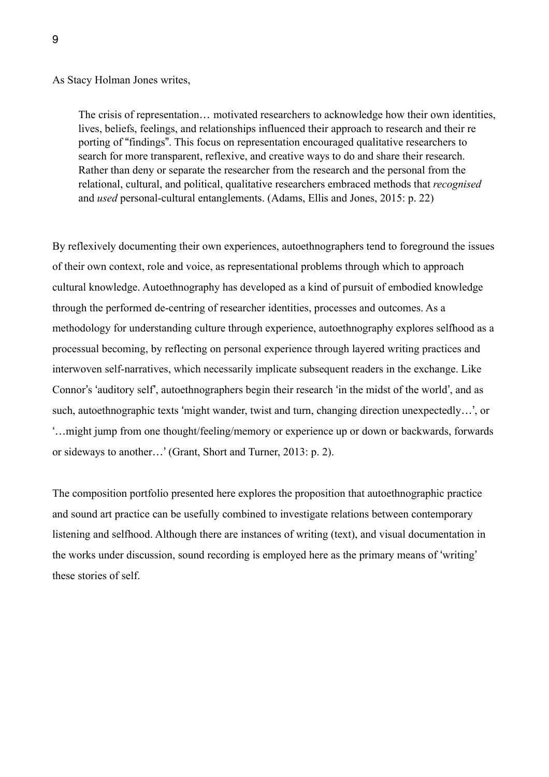#### As Stacy Holman Jones writes,

 The crisis of representation… motivated researchers to acknowledge how their own identities, lives, beliefs, feelings, and relationships influenced their approach to research and their re porting of "findings". This focus on representation encouraged qualitative researchers to search for more transparent, reflexive, and creative ways to do and share their research. Rather than deny or separate the researcher from the research and the personal from the relational, cultural, and political, qualitative researchers embraced methods that *recognised* and *used* personal-cultural entanglements. (Adams, Ellis and Jones, 2015: p. 22)

By reflexively documenting their own experiences, autoethnographers tend to foreground the issues of their own context, role and voice, as representational problems through which to approach cultural knowledge. Autoethnography has developed as a kind of pursuit of embodied knowledge through the performed de-centring of researcher identities, processes and outcomes. As a methodology for understanding culture through experience, autoethnography explores selfhood as a processual becoming, by reflecting on personal experience through layered writing practices and interwoven self-narratives, which necessarily implicate subsequent readers in the exchange. Like Connor's 'auditory self', autoethnographers begin their research 'in the midst of the world', and as such, autoethnographic texts 'might wander, twist and turn, changing direction unexpectedly…', or '…might jump from one thought/feeling/memory or experience up or down or backwards, forwards or sideways to another…' (Grant, Short and Turner, 2013: p. 2).

The composition portfolio presented here explores the proposition that autoethnographic practice and sound art practice can be usefully combined to investigate relations between contemporary listening and selfhood. Although there are instances of writing (text), and visual documentation in the works under discussion, sound recording is employed here as the primary means of 'writing' these stories of self.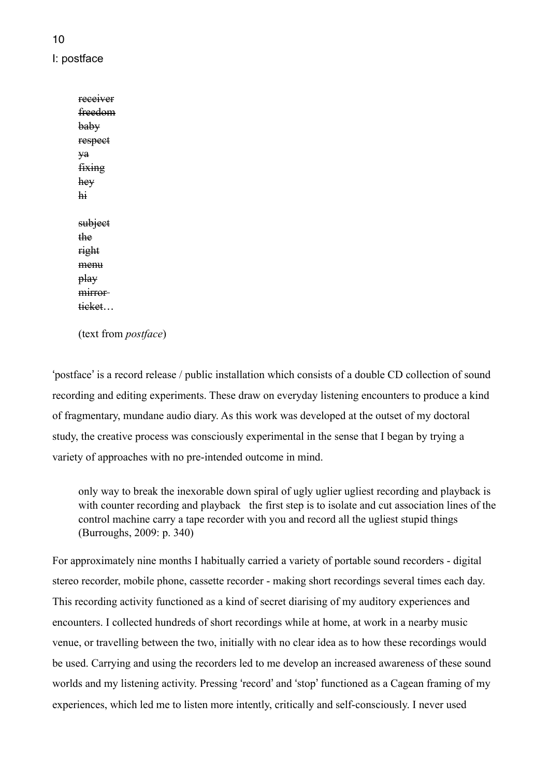I: postface

10

receiver freedom baby respect ya fixing hey hi subject the right menu play mirrorticket…

(text from *postface*)

'postface' is a record release / public installation which consists of a double CD collection of sound recording and editing experiments. These draw on everyday listening encounters to produce a kind of fragmentary, mundane audio diary. As this work was developed at the outset of my doctoral study, the creative process was consciously experimental in the sense that I began by trying a variety of approaches with no pre-intended outcome in mind.

only way to break the inexorable down spiral of ugly uglier ugliest recording and playback is with counter recording and playback the first step is to isolate and cut association lines of the control machine carry a tape recorder with you and record all the ugliest stupid things (Burroughs, 2009: p. 340)

For approximately nine months I habitually carried a variety of portable sound recorders - digital stereo recorder, mobile phone, cassette recorder - making short recordings several times each day. This recording activity functioned as a kind of secret diarising of my auditory experiences and encounters. I collected hundreds of short recordings while at home, at work in a nearby music venue, or travelling between the two, initially with no clear idea as to how these recordings would be used. Carrying and using the recorders led to me develop an increased awareness of these sound worlds and my listening activity. Pressing 'record' and 'stop' functioned as a Cagean framing of my experiences, which led me to listen more intently, critically and self-consciously. I never used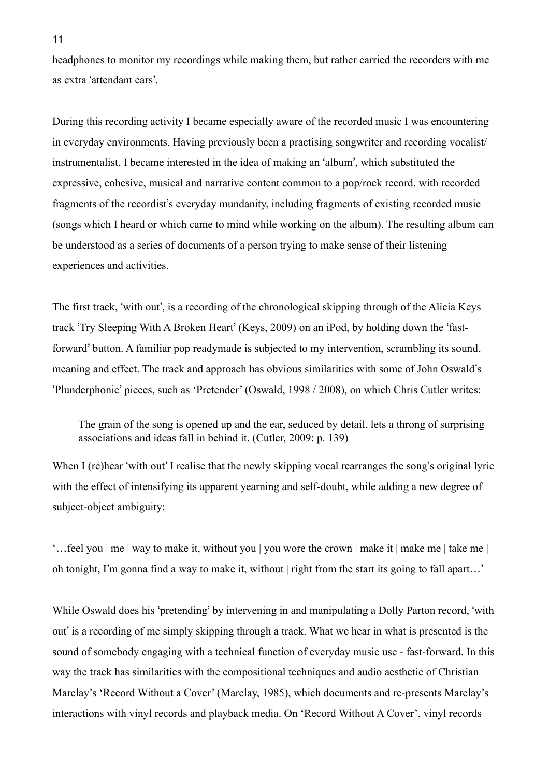headphones to monitor my recordings while making them, but rather carried the recorders with me as extra 'attendant ears'.

During this recording activity I became especially aware of the recorded music I was encountering in everyday environments. Having previously been a practising songwriter and recording vocalist/ instrumentalist, I became interested in the idea of making an 'album', which substituted the expressive, cohesive, musical and narrative content common to a pop/rock record, with recorded fragments of the recordist's everyday mundanity, including fragments of existing recorded music (songs which I heard or which came to mind while working on the album). The resulting album can be understood as a series of documents of a person trying to make sense of their listening experiences and activities.

The first track, 'with out', is a recording of the chronological skipping through of the Alicia Keys track 'Try Sleeping With A Broken Heart' (Keys, 2009) on an iPod, by holding down the 'fastforward' button. A familiar pop readymade is subjected to my intervention, scrambling its sound, meaning and effect. The track and approach has obvious similarities with some of John Oswald's 'Plunderphonic' pieces, such as 'Pretender' (Oswald, 1998 / 2008), on which Chris Cutler writes:

 The grain of the song is opened up and the ear, seduced by detail, lets a throng of surprising associations and ideas fall in behind it. (Cutler, 2009: p. 139)

When I (re)hear 'with out' I realise that the newly skipping vocal rearranges the song's original lyric with the effect of intensifying its apparent yearning and self-doubt, while adding a new degree of subject-object ambiguity:

'…feel you | me | way to make it, without you | you wore the crown | make it | make me | take me | oh tonight, I'm gonna find a way to make it, without | right from the start its going to fall apart…'

While Oswald does his 'pretending' by intervening in and manipulating a Dolly Parton record, 'with out' is a recording of me simply skipping through a track. What we hear in what is presented is the sound of somebody engaging with a technical function of everyday music use - fast-forward. In this way the track has similarities with the compositional techniques and audio aesthetic of Christian Marclay's 'Record Without a Cover' (Marclay, 1985), which documents and re-presents Marclay's interactions with vinyl records and playback media. On 'Record Without A Cover', vinyl records

11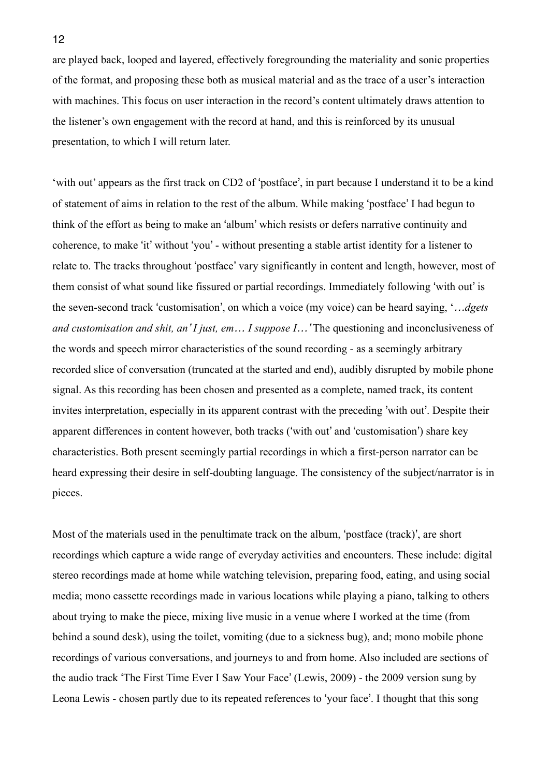are played back, looped and layered, effectively foregrounding the materiality and sonic properties of the format, and proposing these both as musical material and as the trace of a user's interaction with machines. This focus on user interaction in the record's content ultimately draws attention to the listener's own engagement with the record at hand, and this is reinforced by its unusual presentation, to which I will return later.

'with out' appears as the first track on CD2 of 'postface', in part because I understand it to be a kind of statement of aims in relation to the rest of the album. While making 'postface' I had begun to think of the effort as being to make an 'album' which resists or defers narrative continuity and coherence, to make 'it' without 'you' - without presenting a stable artist identity for a listener to relate to. The tracks throughout 'postface' vary significantly in content and length, however, most of them consist of what sound like fissured or partial recordings. Immediately following 'with out' is the seven-second track 'customisation', on which a voice (my voice) can be heard saying, '*…dgets and customisation and shit, an' I just, em... I suppose I...' The questioning and inconclusiveness of* the words and speech mirror characteristics of the sound recording - as a seemingly arbitrary recorded slice of conversation (truncated at the started and end), audibly disrupted by mobile phone signal. As this recording has been chosen and presented as a complete, named track, its content invites interpretation, especially in its apparent contrast with the preceding 'with out'. Despite their apparent differences in content however, both tracks ('with out' and 'customisation') share key characteristics. Both present seemingly partial recordings in which a first-person narrator can be heard expressing their desire in self-doubting language. The consistency of the subject/narrator is in pieces.

Most of the materials used in the penultimate track on the album, 'postface (track)', are short recordings which capture a wide range of everyday activities and encounters. These include: digital stereo recordings made at home while watching television, preparing food, eating, and using social media; mono cassette recordings made in various locations while playing a piano, talking to others about trying to make the piece, mixing live music in a venue where I worked at the time (from behind a sound desk), using the toilet, vomiting (due to a sickness bug), and; mono mobile phone recordings of various conversations, and journeys to and from home. Also included are sections of the audio track 'The First Time Ever I Saw Your Face' (Lewis, 2009) - the 2009 version sung by Leona Lewis - chosen partly due to its repeated references to 'your face'. I thought that this song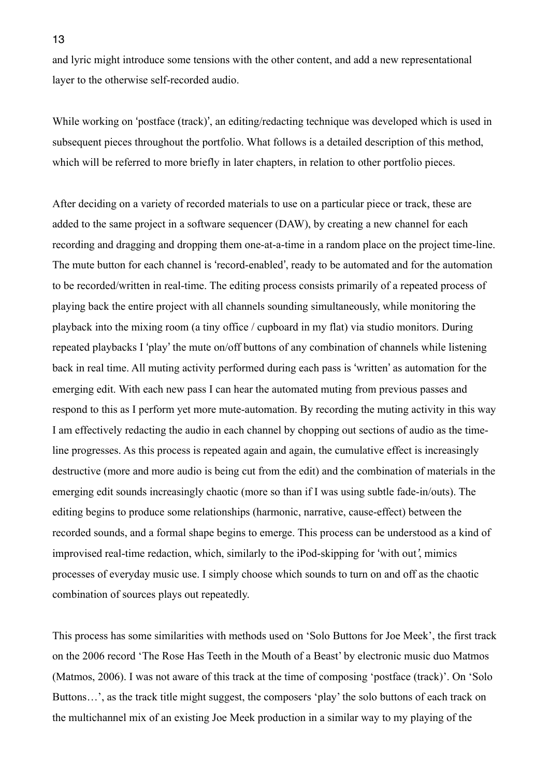and lyric might introduce some tensions with the other content, and add a new representational layer to the otherwise self-recorded audio.

While working on 'postface (track)', an editing/redacting technique was developed which is used in subsequent pieces throughout the portfolio. What follows is a detailed description of this method, which will be referred to more briefly in later chapters, in relation to other portfolio pieces.

After deciding on a variety of recorded materials to use on a particular piece or track, these are added to the same project in a software sequencer (DAW), by creating a new channel for each recording and dragging and dropping them one-at-a-time in a random place on the project time-line. The mute button for each channel is 'record-enabled', ready to be automated and for the automation to be recorded/written in real-time. The editing process consists primarily of a repeated process of playing back the entire project with all channels sounding simultaneously, while monitoring the playback into the mixing room (a tiny office / cupboard in my flat) via studio monitors. During repeated playbacks I 'play' the mute on/off buttons of any combination of channels while listening back in real time. All muting activity performed during each pass is 'written' as automation for the emerging edit. With each new pass I can hear the automated muting from previous passes and respond to this as I perform yet more mute-automation. By recording the muting activity in this way I am effectively redacting the audio in each channel by chopping out sections of audio as the timeline progresses. As this process is repeated again and again, the cumulative effect is increasingly destructive (more and more audio is being cut from the edit) and the combination of materials in the emerging edit sounds increasingly chaotic (more so than if I was using subtle fade-in/outs). The editing begins to produce some relationships (harmonic, narrative, cause-effect) between the recorded sounds, and a formal shape begins to emerge. This process can be understood as a kind of improvised real-time redaction, which, similarly to the iPod-skipping for 'with out*'*, mimics processes of everyday music use. I simply choose which sounds to turn on and off as the chaotic combination of sources plays out repeatedly.

This process has some similarities with methods used on 'Solo Buttons for Joe Meek', the first track on the 2006 record 'The Rose Has Teeth in the Mouth of a Beast' by electronic music duo Matmos (Matmos, 2006). I was not aware of this track at the time of composing 'postface (track)'. On 'Solo Buttons…', as the track title might suggest, the composers 'play' the solo buttons of each track on the multichannel mix of an existing Joe Meek production in a similar way to my playing of the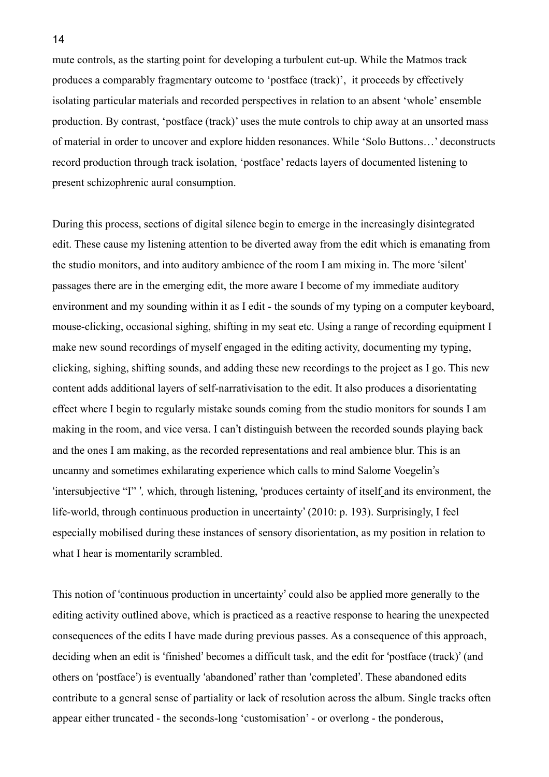mute controls, as the starting point for developing a turbulent cut-up. While the Matmos track produces a comparably fragmentary outcome to 'postface (track)', it proceeds by effectively isolating particular materials and recorded perspectives in relation to an absent 'whole' ensemble production. By contrast, 'postface (track)' uses the mute controls to chip away at an unsorted mass of material in order to uncover and explore hidden resonances. While 'Solo Buttons…' deconstructs record production through track isolation, 'postface' redacts layers of documented listening to present schizophrenic aural consumption.

During this process, sections of digital silence begin to emerge in the increasingly disintegrated edit. These cause my listening attention to be diverted away from the edit which is emanating from the studio monitors, and into auditory ambience of the room I am mixing in. The more 'silent' passages there are in the emerging edit, the more aware I become of my immediate auditory environment and my sounding within it as I edit - the sounds of my typing on a computer keyboard, mouse-clicking, occasional sighing, shifting in my seat etc. Using a range of recording equipment I make new sound recordings of myself engaged in the editing activity, documenting my typing, clicking, sighing, shifting sounds, and adding these new recordings to the project as I go. This new content adds additional layers of self-narrativisation to the edit. It also produces a disorientating effect where I begin to regularly mistake sounds coming from the studio monitors for sounds I am making in the room, and vice versa. I can't distinguish between the recorded sounds playing back and the ones I am making, as the recorded representations and real ambience blur. This is an uncanny and sometimes exhilarating experience which calls to mind Salome Voegelin's 'intersubjective "I" '*,* which, through listening, 'produces certainty of itself and its environment, the life-world, through continuous production in uncertainty' (2010: p. 193). Surprisingly, I feel especially mobilised during these instances of sensory disorientation, as my position in relation to what I hear is momentarily scrambled.

This notion of 'continuous production in uncertainty' could also be applied more generally to the editing activity outlined above, which is practiced as a reactive response to hearing the unexpected consequences of the edits I have made during previous passes. As a consequence of this approach, deciding when an edit is 'finished' becomes a difficult task, and the edit for 'postface (track)' (and others on 'postface') is eventually 'abandoned' rather than 'completed'. These abandoned edits contribute to a general sense of partiality or lack of resolution across the album. Single tracks often appear either truncated - the seconds-long 'customisation' - or overlong - the ponderous,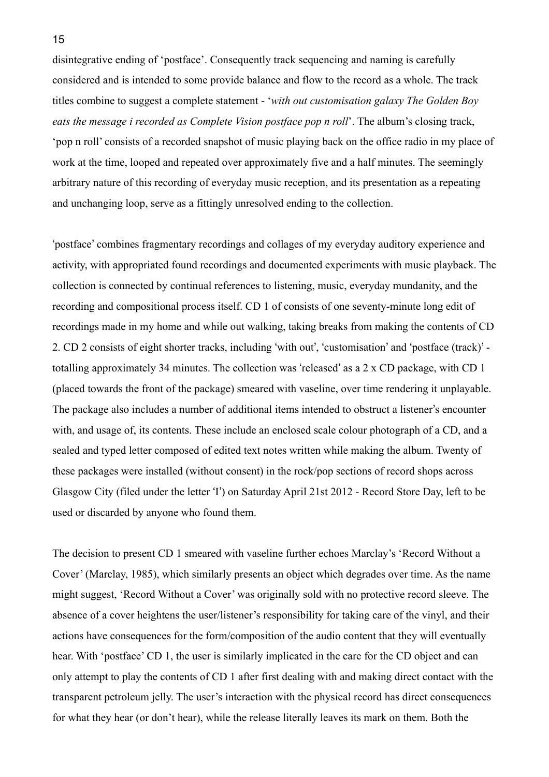disintegrative ending of 'postface'. Consequently track sequencing and naming is carefully considered and is intended to some provide balance and flow to the record as a whole. The track titles combine to suggest a complete statement - '*with out customisation galaxy The Golden Boy eats the message i recorded as Complete Vision postface pop n roll*'. The album's closing track, 'pop n roll' consists of a recorded snapshot of music playing back on the office radio in my place of work at the time, looped and repeated over approximately five and a half minutes. The seemingly arbitrary nature of this recording of everyday music reception, and its presentation as a repeating and unchanging loop, serve as a fittingly unresolved ending to the collection.

'postface' combines fragmentary recordings and collages of my everyday auditory experience and activity, with appropriated found recordings and documented experiments with music playback. The collection is connected by continual references to listening, music, everyday mundanity, and the recording and compositional process itself. CD 1 of consists of one seventy-minute long edit of recordings made in my home and while out walking, taking breaks from making the contents of CD 2. CD 2 consists of eight shorter tracks, including 'with out', 'customisation' and 'postface (track)' totalling approximately 34 minutes. The collection was 'released' as a 2 x CD package, with CD 1 (placed towards the front of the package) smeared with vaseline, over time rendering it unplayable. The package also includes a number of additional items intended to obstruct a listener's encounter with, and usage of, its contents. These include an enclosed scale colour photograph of a CD, and a sealed and typed letter composed of edited text notes written while making the album. Twenty of these packages were installed (without consent) in the rock/pop sections of record shops across Glasgow City (filed under the letter 'I') on Saturday April 21st 2012 - Record Store Day, left to be used or discarded by anyone who found them.

The decision to present CD 1 smeared with vaseline further echoes Marclay's 'Record Without a Cover' (Marclay, 1985), which similarly presents an object which degrades over time. As the name might suggest, 'Record Without a Cover' was originally sold with no protective record sleeve. The absence of a cover heightens the user/listener's responsibility for taking care of the vinyl, and their actions have consequences for the form/composition of the audio content that they will eventually hear. With 'postface' CD 1, the user is similarly implicated in the care for the CD object and can only attempt to play the contents of CD 1 after first dealing with and making direct contact with the transparent petroleum jelly. The user's interaction with the physical record has direct consequences for what they hear (or don't hear), while the release literally leaves its mark on them. Both the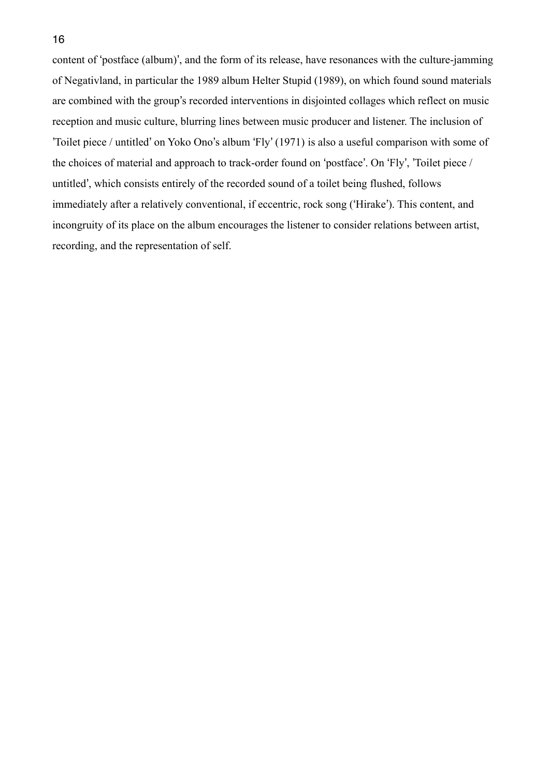content of 'postface (album)', and the form of its release, have resonances with the culture-jamming of Negativland, in particular the 1989 album Helter Stupid (1989), on which found sound materials are combined with the group's recorded interventions in disjointed collages which reflect on music reception and music culture, blurring lines between music producer and listener. The inclusion of 'Toilet piece / untitled' on Yoko Ono's album 'Fly' (1971) is also a useful comparison with some of the choices of material and approach to track-order found on 'postface'. On 'Fly', 'Toilet piece / untitled', which consists entirely of the recorded sound of a toilet being flushed, follows immediately after a relatively conventional, if eccentric, rock song ('Hirake'). This content, and incongruity of its place on the album encourages the listener to consider relations between artist, recording, and the representation of self.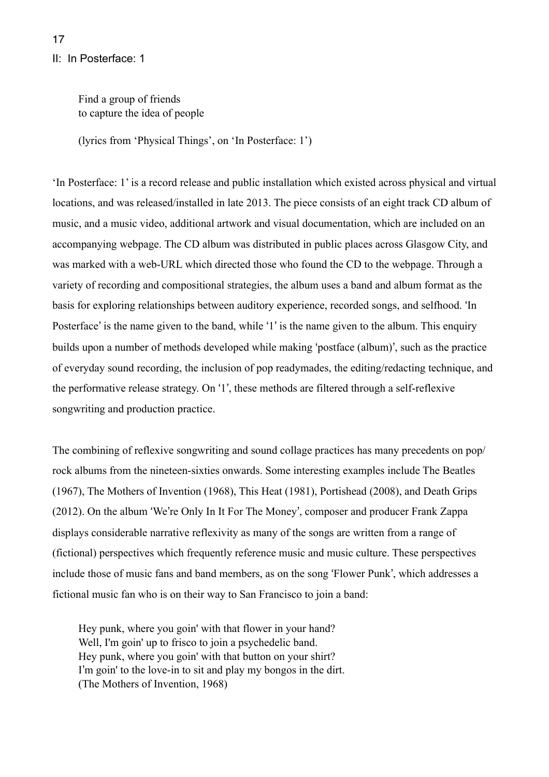II: In Posterface: 1

 Find a group of friends to capture the idea of people

(lyrics from 'Physical Things', on 'In Posterface: 1')

'In Posterface: 1' is a record release and public installation which existed across physical and virtual locations, and was released/installed in late 2013. The piece consists of an eight track CD album of music, and a music video, additional artwork and visual documentation, which are included on an accompanying webpage. The CD album was distributed in public places across Glasgow City, and was marked with a web-URL which directed those who found the CD to the webpage. Through a variety of recording and compositional strategies, the album uses a band and album format as the basis for exploring relationships between auditory experience, recorded songs, and selfhood. 'In Posterface' is the name given to the band, while '1' is the name given to the album. This enquiry builds upon a number of methods developed while making 'postface (album)', such as the practice of everyday sound recording, the inclusion of pop readymades, the editing/redacting technique, and the performative release strategy. On '1', these methods are filtered through a self-reflexive songwriting and production practice.

The combining of reflexive songwriting and sound collage practices has many precedents on pop/ rock albums from the nineteen-sixties onwards. Some interesting examples include The Beatles (1967), The Mothers of Invention (1968), This Heat (1981), Portishead (2008), and Death Grips (2012). On the album 'We're Only In It For The Money', composer and producer Frank Zappa displays considerable narrative reflexivity as many of the songs are written from a range of (fictional) perspectives which frequently reference music and music culture. These perspectives include those of music fans and band members, as on the song 'Flower Punk', which addresses a fictional music fan who is on their way to San Francisco to join a band:

 Hey punk, where you goin' with that flower in your hand? Well, I'm goin' up to frisco to join a psychedelic band. Hey punk, where you goin' with that button on your shirt? I'm goin' to the love-in to sit and play my bongos in the dirt. (The Mothers of Invention, 1968)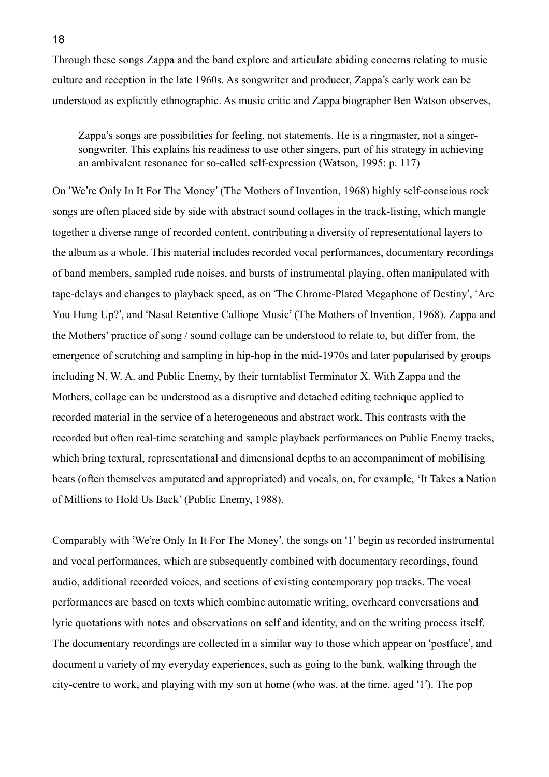Through these songs Zappa and the band explore and articulate abiding concerns relating to music culture and reception in the late 1960s. As songwriter and producer, Zappa's early work can be understood as explicitly ethnographic. As music critic and Zappa biographer Ben Watson observes,

 Zappa's songs are possibilities for feeling, not statements. He is a ringmaster, not a singer songwriter. This explains his readiness to use other singers, part of his strategy in achieving an ambivalent resonance for so-called self-expression (Watson, 1995: p. 117)

On 'We're Only In It For The Money' (The Mothers of Invention, 1968) highly self-conscious rock songs are often placed side by side with abstract sound collages in the track-listing, which mangle together a diverse range of recorded content, contributing a diversity of representational layers to the album as a whole. This material includes recorded vocal performances, documentary recordings of band members, sampled rude noises, and bursts of instrumental playing, often manipulated with tape-delays and changes to playback speed, as on 'The Chrome-Plated Megaphone of Destiny', 'Are You Hung Up?', and 'Nasal Retentive Calliope Music' (The Mothers of Invention, 1968). Zappa and the Mothers' practice of song / sound collage can be understood to relate to, but differ from, the emergence of scratching and sampling in hip-hop in the mid-1970s and later popularised by groups including N. W. A. and Public Enemy, by their turntablist Terminator X. With Zappa and the Mothers, collage can be understood as a disruptive and detached editing technique applied to recorded material in the service of a heterogeneous and abstract work. This contrasts with the recorded but often real-time scratching and sample playback performances on Public Enemy tracks, which bring textural, representational and dimensional depths to an accompaniment of mobilising beats (often themselves amputated and appropriated) and vocals, on, for example, 'It Takes a Nation of Millions to Hold Us Back' (Public Enemy, 1988).

Comparably with 'We're Only In It For The Money', the songs on '1' begin as recorded instrumental and vocal performances, which are subsequently combined with documentary recordings, found audio, additional recorded voices, and sections of existing contemporary pop tracks. The vocal performances are based on texts which combine automatic writing, overheard conversations and lyric quotations with notes and observations on self and identity, and on the writing process itself. The documentary recordings are collected in a similar way to those which appear on 'postface', and document a variety of my everyday experiences, such as going to the bank, walking through the city-centre to work, and playing with my son at home (who was, at the time, aged '1'). The pop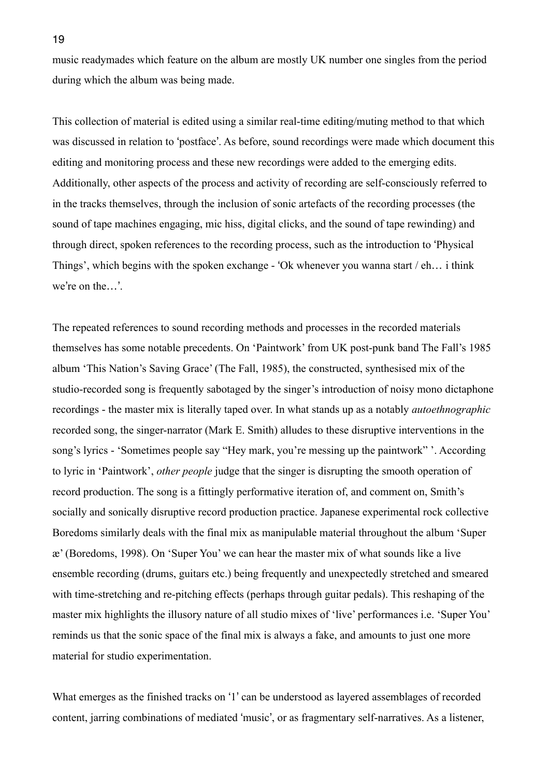music readymades which feature on the album are mostly UK number one singles from the period during which the album was being made.

This collection of material is edited using a similar real-time editing/muting method to that which was discussed in relation to 'postface'. As before, sound recordings were made which document this editing and monitoring process and these new recordings were added to the emerging edits. Additionally, other aspects of the process and activity of recording are self-consciously referred to in the tracks themselves, through the inclusion of sonic artefacts of the recording processes (the sound of tape machines engaging, mic hiss, digital clicks, and the sound of tape rewinding) and through direct, spoken references to the recording process, such as the introduction to 'Physical Things', which begins with the spoken exchange - 'Ok whenever you wanna start / eh… i think we're on the…'.

The repeated references to sound recording methods and processes in the recorded materials themselves has some notable precedents. On 'Paintwork' from UK post-punk band The Fall's 1985 album 'This Nation's Saving Grace' (The Fall, 1985), the constructed, synthesised mix of the studio-recorded song is frequently sabotaged by the singer's introduction of noisy mono dictaphone recordings - the master mix is literally taped over. In what stands up as a notably *autoethnographic* recorded song, the singer-narrator (Mark E. Smith) alludes to these disruptive interventions in the song's lyrics - 'Sometimes people say "Hey mark, you're messing up the paintwork" '. According to lyric in 'Paintwork', *other people* judge that the singer is disrupting the smooth operation of record production. The song is a fittingly performative iteration of, and comment on, Smith's socially and sonically disruptive record production practice. Japanese experimental rock collective Boredoms similarly deals with the final mix as manipulable material throughout the album 'Super æ' (Boredoms, 1998). On 'Super You' we can hear the master mix of what sounds like a live ensemble recording (drums, guitars etc.) being frequently and unexpectedly stretched and smeared with time-stretching and re-pitching effects (perhaps through guitar pedals). This reshaping of the master mix highlights the illusory nature of all studio mixes of 'live' performances i.e. 'Super You' reminds us that the sonic space of the final mix is always a fake, and amounts to just one more material for studio experimentation.

What emerges as the finished tracks on '1' can be understood as layered assemblages of recorded content, jarring combinations of mediated 'music', or as fragmentary self-narratives. As a listener,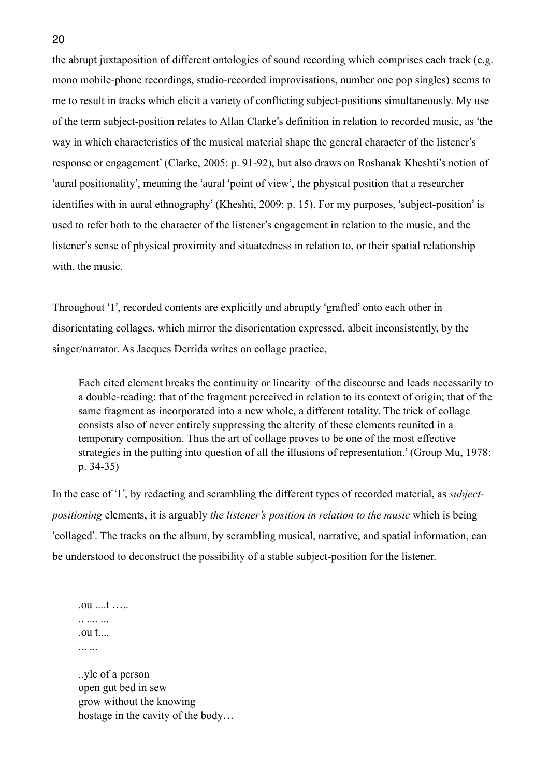the abrupt juxtaposition of different ontologies of sound recording which comprises each track (e.g. mono mobile-phone recordings, studio-recorded improvisations, number one pop singles) seems to me to result in tracks which elicit a variety of conflicting subject-positions simultaneously. My use of the term subject-position relates to Allan Clarke's definition in relation to recorded music, as 'the way in which characteristics of the musical material shape the general character of the listener's response or engagement' (Clarke, 2005: p. 91-92), but also draws on Roshanak Kheshti's notion of 'aural positionality', meaning the 'aural 'point of view', the physical position that a researcher identifies with in aural ethnography' (Kheshti, 2009: p. 15). For my purposes, 'subject-position' is used to refer both to the character of the listener's engagement in relation to the music, and the listener's sense of physical proximity and situatedness in relation to, or their spatial relationship with, the music.

Throughout '1', recorded contents are explicitly and abruptly 'grafted' onto each other in disorientating collages, which mirror the disorientation expressed, albeit inconsistently, by the singer/narrator. As Jacques Derrida writes on collage practice,

 Each cited element breaks the continuity or linearity of the discourse and leads necessarily to a double-reading: that of the fragment perceived in relation to its context of origin; that of the same fragment as incorporated into a new whole, a different totality. The trick of collage consists also of never entirely suppressing the alterity of these elements reunited in a temporary composition. Thus the art of collage proves to be one of the most effective strategies in the putting into question of all the illusions of representation.' (Group Mu, 1978: p. 34-35)

In the case of '1', by redacting and scrambling the different types of recorded material, as *subjectpositioning* elements, it is arguably *the listener's position in relation to the music* which is being 'collaged'. The tracks on the album, by scrambling musical, narrative, and spatial information, can be understood to deconstruct the possibility of a stable subject-position for the listener.

 .ou ....t ….. .. .... ... .ou t.... ... ... ..yle of a person open gut bed in sew grow without the knowing hostage in the cavity of the body…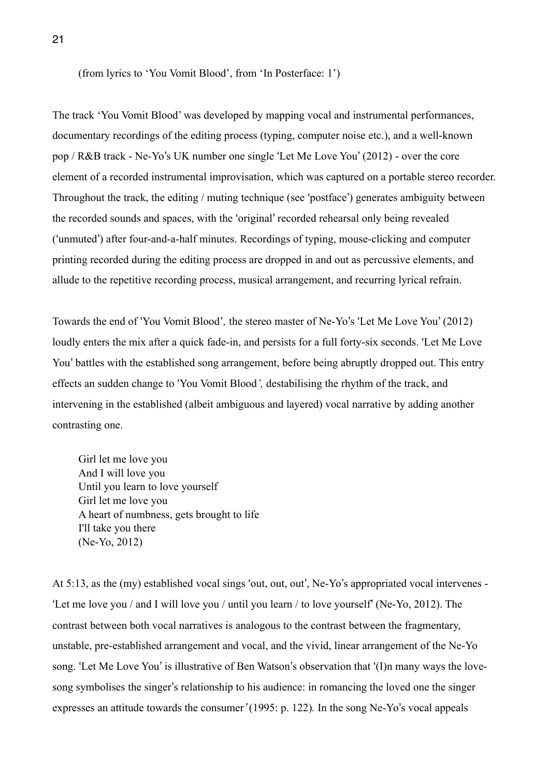(from lyrics to 'You Vomit Blood', from 'In Posterface: 1')

The track 'You Vomit Blood' was developed by mapping vocal and instrumental performances, documentary recordings of the editing process (typing, computer noise etc.), and a well-known pop / R&B track - Ne-Yo's UK number one single 'Let Me Love You' (2012) - over the core element of a recorded instrumental improvisation, which was captured on a portable stereo recorder. Throughout the track, the editing / muting technique (see 'postface') generates ambiguity between the recorded sounds and spaces, with the 'original' recorded rehearsal only being revealed ('unmuted') after four-and-a-half minutes. Recordings of typing, mouse-clicking and computer printing recorded during the editing process are dropped in and out as percussive elements, and allude to the repetitive recording process, musical arrangement, and recurring lyrical refrain.

Towards the end of 'You Vomit Blood'*,* the stereo master of Ne-Yo's 'Let Me Love You' (2012) loudly enters the mix after a quick fade-in, and persists for a full forty-six seconds. 'Let Me Love You' battles with the established song arrangement, before being abruptly dropped out. This entry effects an sudden change to 'You Vomit Blood*',* destabilising the rhythm of the track, and intervening in the established (albeit ambiguous and layered) vocal narrative by adding another contrasting one.

 Girl let me love you And I will love you Until you learn to love yourself Girl let me love you A heart of numbness, gets brought to life I'll take you there (Ne-Yo, 2012)

At 5:13, as the (my) established vocal sings 'out, out, out', Ne-Yo's appropriated vocal intervenes - 'Let me love you / and I will love you / until you learn / to love yourself' (Ne-Yo, 2012). The contrast between both vocal narratives is analogous to the contrast between the fragmentary, unstable, pre-established arrangement and vocal, and the vivid, linear arrangement of the Ne-Yo song. 'Let Me Love You' is illustrative of Ben Watson's observation that '(I)n many ways the lovesong symbolises the singer's relationship to his audience: in romancing the loved one the singer expresses an attitude towards the consumer*'* (1995: p. 122)*.* In the song Ne-Yo's vocal appeals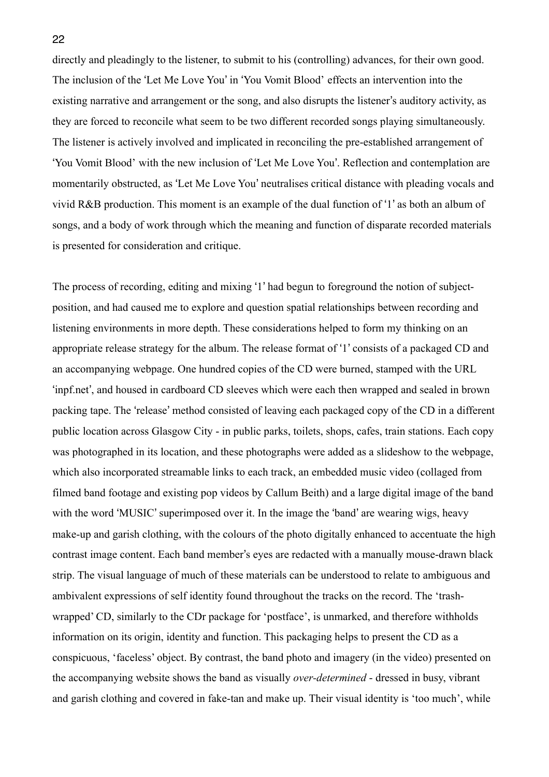directly and pleadingly to the listener, to submit to his (controlling) advances, for their own good. The inclusion of the 'Let Me Love You' in 'You Vomit Blood' effects an intervention into the existing narrative and arrangement or the song, and also disrupts the listener's auditory activity, as they are forced to reconcile what seem to be two different recorded songs playing simultaneously. The listener is actively involved and implicated in reconciling the pre-established arrangement of 'You Vomit Blood' with the new inclusion of 'Let Me Love You'. Reflection and contemplation are momentarily obstructed, as 'Let Me Love You' neutralises critical distance with pleading vocals and vivid R&B production. This moment is an example of the dual function of '1' as both an album of songs, and a body of work through which the meaning and function of disparate recorded materials is presented for consideration and critique.

The process of recording, editing and mixing '1' had begun to foreground the notion of subjectposition, and had caused me to explore and question spatial relationships between recording and listening environments in more depth. These considerations helped to form my thinking on an appropriate release strategy for the album. The release format of '1' consists of a packaged CD and an accompanying webpage. One hundred copies of the CD were burned, stamped with the URL 'inpf.net', and housed in cardboard CD sleeves which were each then wrapped and sealed in brown packing tape. The 'release' method consisted of leaving each packaged copy of the CD in a different public location across Glasgow City - in public parks, toilets, shops, cafes, train stations. Each copy was photographed in its location, and these photographs were added as a slideshow to the webpage, which also incorporated streamable links to each track, an embedded music video (collaged from filmed band footage and existing pop videos by Callum Beith) and a large digital image of the band with the word 'MUSIC' superimposed over it. In the image the 'band' are wearing wigs, heavy make-up and garish clothing, with the colours of the photo digitally enhanced to accentuate the high contrast image content. Each band member's eyes are redacted with a manually mouse-drawn black strip. The visual language of much of these materials can be understood to relate to ambiguous and ambivalent expressions of self identity found throughout the tracks on the record. The 'trashwrapped' CD, similarly to the CDr package for 'postface', is unmarked, and therefore withholds information on its origin, identity and function. This packaging helps to present the CD as a conspicuous, 'faceless' object. By contrast, the band photo and imagery (in the video) presented on the accompanying website shows the band as visually *over-determined* - dressed in busy, vibrant and garish clothing and covered in fake-tan and make up. Their visual identity is 'too much', while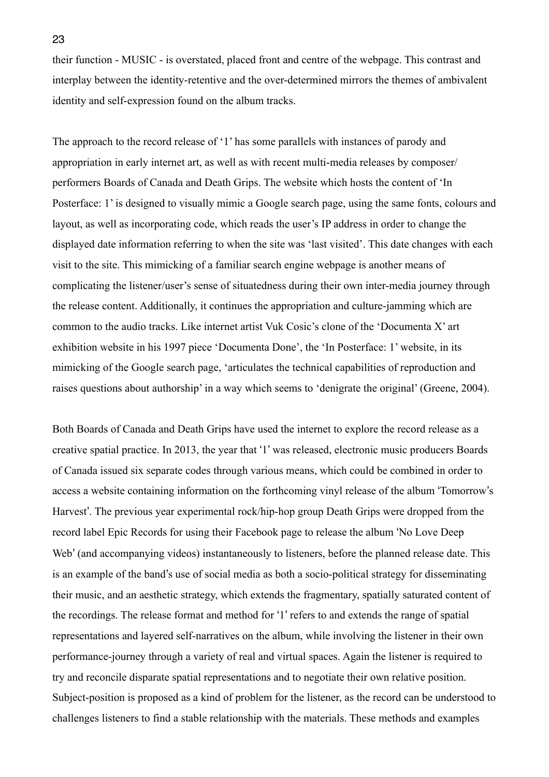their function - MUSIC - is overstated, placed front and centre of the webpage. This contrast and interplay between the identity-retentive and the over-determined mirrors the themes of ambivalent identity and self-expression found on the album tracks.

The approach to the record release of '1' has some parallels with instances of parody and appropriation in early internet art, as well as with recent multi-media releases by composer/ performers Boards of Canada and Death Grips. The website which hosts the content of 'In Posterface: 1' is designed to visually mimic a Google search page, using the same fonts, colours and layout, as well as incorporating code, which reads the user's IP address in order to change the displayed date information referring to when the site was 'last visited'. This date changes with each visit to the site. This mimicking of a familiar search engine webpage is another means of complicating the listener/user's sense of situatedness during their own inter-media journey through the release content. Additionally, it continues the appropriation and culture-jamming which are common to the audio tracks. Like internet artist Vuk Cosic's clone of the 'Documenta X' art exhibition website in his 1997 piece 'Documenta Done', the 'In Posterface: 1' website, in its mimicking of the Google search page, 'articulates the technical capabilities of reproduction and raises questions about authorship' in a way which seems to 'denigrate the original' (Greene, 2004).

Both Boards of Canada and Death Grips have used the internet to explore the record release as a creative spatial practice. In 2013, the year that '1' was released, electronic music producers Boards of Canada issued six separate codes through various means, which could be combined in order to access a website containing information on the forthcoming vinyl release of the album 'Tomorrow's Harvest'. The previous year experimental rock/hip-hop group Death Grips were dropped from the record label Epic Records for using their Facebook page to release the album 'No Love Deep Web' (and accompanying videos) instantaneously to listeners, before the planned release date. This is an example of the band's use of social media as both a socio-political strategy for disseminating their music, and an aesthetic strategy, which extends the fragmentary, spatially saturated content of the recordings. The release format and method for '1' refers to and extends the range of spatial representations and layered self-narratives on the album, while involving the listener in their own performance-journey through a variety of real and virtual spaces. Again the listener is required to try and reconcile disparate spatial representations and to negotiate their own relative position. Subject-position is proposed as a kind of problem for the listener, as the record can be understood to challenges listeners to find a stable relationship with the materials. These methods and examples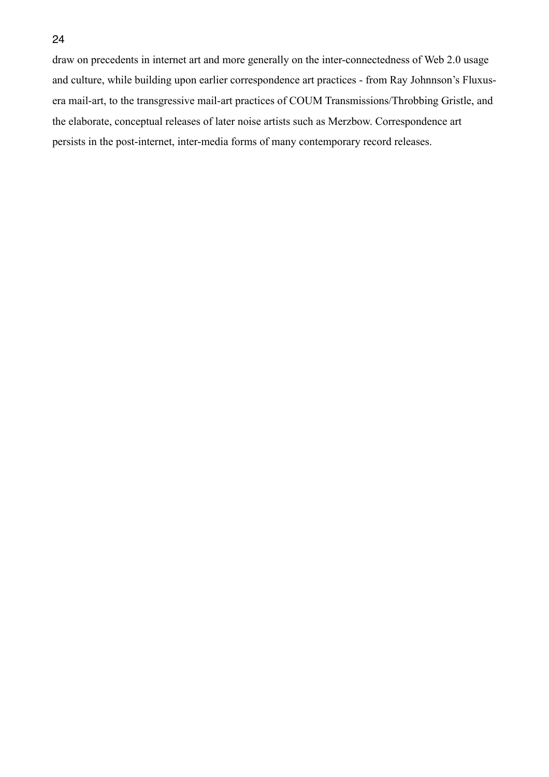draw on precedents in internet art and more generally on the inter-connectedness of Web 2.0 usage and culture, while building upon earlier correspondence art practices - from Ray Johnnson's Fluxusera mail-art, to the transgressive mail-art practices of COUM Transmissions/Throbbing Gristle, and the elaborate, conceptual releases of later noise artists such as Merzbow. Correspondence art persists in the post-internet, inter-media forms of many contemporary record releases.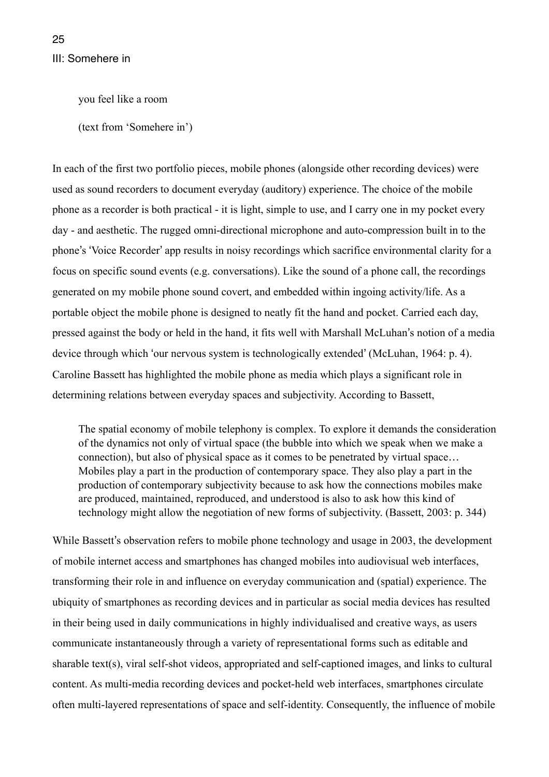you feel like a room

(text from 'Somehere in')

In each of the first two portfolio pieces, mobile phones (alongside other recording devices) were used as sound recorders to document everyday (auditory) experience. The choice of the mobile phone as a recorder is both practical - it is light, simple to use, and I carry one in my pocket every day - and aesthetic. The rugged omni-directional microphone and auto-compression built in to the phone's 'Voice Recorder' app results in noisy recordings which sacrifice environmental clarity for a focus on specific sound events (e.g. conversations). Like the sound of a phone call, the recordings generated on my mobile phone sound covert, and embedded within ingoing activity/life. As a portable object the mobile phone is designed to neatly fit the hand and pocket. Carried each day, pressed against the body or held in the hand, it fits well with Marshall McLuhan's notion of a media device through which 'our nervous system is technologically extended' (McLuhan, 1964: p. 4). Caroline Bassett has highlighted the mobile phone as media which plays a significant role in determining relations between everyday spaces and subjectivity. According to Bassett,

 The spatial economy of mobile telephony is complex. To explore it demands the consideration of the dynamics not only of virtual space (the bubble into which we speak when we make a connection), but also of physical space as it comes to be penetrated by virtual space… Mobiles play a part in the production of contemporary space. They also play a part in the production of contemporary subjectivity because to ask how the connections mobiles make are produced, maintained, reproduced, and understood is also to ask how this kind of technology might allow the negotiation of new forms of subjectivity. (Bassett, 2003: p. 344)

While Bassett's observation refers to mobile phone technology and usage in 2003, the development of mobile internet access and smartphones has changed mobiles into audiovisual web interfaces, transforming their role in and influence on everyday communication and (spatial) experience. The ubiquity of smartphones as recording devices and in particular as social media devices has resulted in their being used in daily communications in highly individualised and creative ways, as users communicate instantaneously through a variety of representational forms such as editable and sharable text(s), viral self-shot videos, appropriated and self-captioned images, and links to cultural content. As multi-media recording devices and pocket-held web interfaces, smartphones circulate often multi-layered representations of space and self-identity. Consequently, the influence of mobile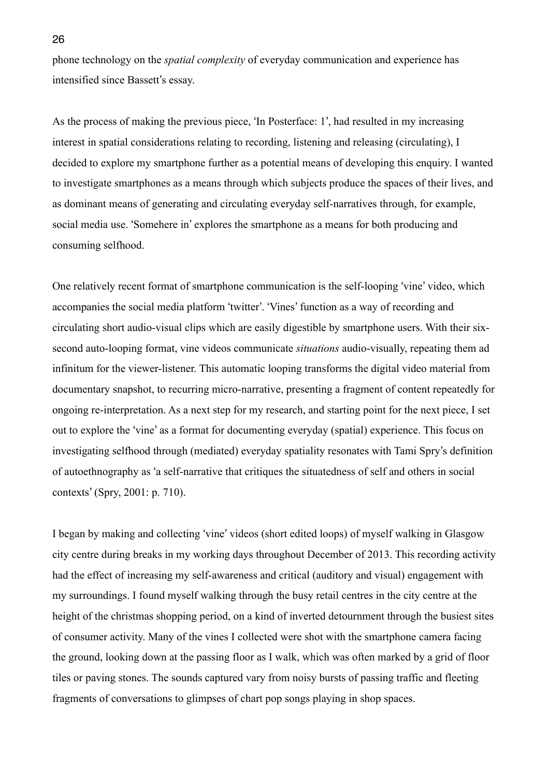phone technology on the *spatial complexity* of everyday communication and experience has intensified since Bassett's essay.

As the process of making the previous piece, 'In Posterface: 1', had resulted in my increasing interest in spatial considerations relating to recording, listening and releasing (circulating), I decided to explore my smartphone further as a potential means of developing this enquiry. I wanted to investigate smartphones as a means through which subjects produce the spaces of their lives, and as dominant means of generating and circulating everyday self-narratives through, for example, social media use. 'Somehere in' explores the smartphone as a means for both producing and consuming selfhood.

One relatively recent format of smartphone communication is the self-looping 'vine' video, which accompanies the social media platform 'twitter'. 'Vines' function as a way of recording and circulating short audio-visual clips which are easily digestible by smartphone users. With their sixsecond auto-looping format, vine videos communicate *situations* audio-visually, repeating them ad infinitum for the viewer-listener. This automatic looping transforms the digital video material from documentary snapshot, to recurring micro-narrative, presenting a fragment of content repeatedly for ongoing re-interpretation. As a next step for my research, and starting point for the next piece, I set out to explore the 'vine' as a format for documenting everyday (spatial) experience. This focus on investigating selfhood through (mediated) everyday spatiality resonates with Tami Spry's definition of autoethnography as 'a self-narrative that critiques the situatedness of self and others in social contexts' (Spry, 2001: p. 710).

I began by making and collecting 'vine' videos (short edited loops) of myself walking in Glasgow city centre during breaks in my working days throughout December of 2013. This recording activity had the effect of increasing my self-awareness and critical (auditory and visual) engagement with my surroundings. I found myself walking through the busy retail centres in the city centre at the height of the christmas shopping period, on a kind of inverted detournment through the busiest sites of consumer activity. Many of the vines I collected were shot with the smartphone camera facing the ground, looking down at the passing floor as I walk, which was often marked by a grid of floor tiles or paving stones. The sounds captured vary from noisy bursts of passing traffic and fleeting fragments of conversations to glimpses of chart pop songs playing in shop spaces.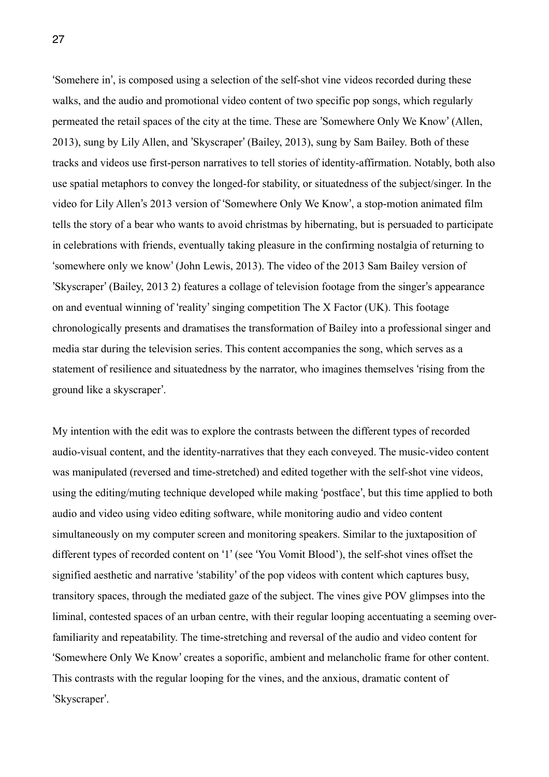'Somehere in', is composed using a selection of the self-shot vine videos recorded during these walks, and the audio and promotional video content of two specific pop songs, which regularly permeated the retail spaces of the city at the time. These are 'Somewhere Only We Know' (Allen, 2013), sung by Lily Allen, and 'Skyscraper' (Bailey, 2013), sung by Sam Bailey. Both of these tracks and videos use first-person narratives to tell stories of identity-affirmation. Notably, both also use spatial metaphors to convey the longed-for stability, or situatedness of the subject/singer. In the video for Lily Allen's 2013 version of 'Somewhere Only We Know', a stop-motion animated film tells the story of a bear who wants to avoid christmas by hibernating, but is persuaded to participate in celebrations with friends, eventually taking pleasure in the confirming nostalgia of returning to 'somewhere only we know' (John Lewis, 2013). The video of the 2013 Sam Bailey version of 'Skyscraper' (Bailey, 2013 2) features a collage of television footage from the singer's appearance on and eventual winning of 'reality' singing competition The X Factor (UK). This footage chronologically presents and dramatises the transformation of Bailey into a professional singer and media star during the television series. This content accompanies the song, which serves as a statement of resilience and situatedness by the narrator, who imagines themselves 'rising from the ground like a skyscraper'.

My intention with the edit was to explore the contrasts between the different types of recorded audio-visual content, and the identity-narratives that they each conveyed. The music-video content was manipulated (reversed and time-stretched) and edited together with the self-shot vine videos, using the editing/muting technique developed while making 'postface', but this time applied to both audio and video using video editing software, while monitoring audio and video content simultaneously on my computer screen and monitoring speakers. Similar to the juxtaposition of different types of recorded content on '1' (see 'You Vomit Blood'), the self-shot vines offset the signified aesthetic and narrative 'stability' of the pop videos with content which captures busy, transitory spaces, through the mediated gaze of the subject. The vines give POV glimpses into the liminal, contested spaces of an urban centre, with their regular looping accentuating a seeming overfamiliarity and repeatability. The time-stretching and reversal of the audio and video content for 'Somewhere Only We Know' creates a soporific, ambient and melancholic frame for other content. This contrasts with the regular looping for the vines, and the anxious, dramatic content of 'Skyscraper'.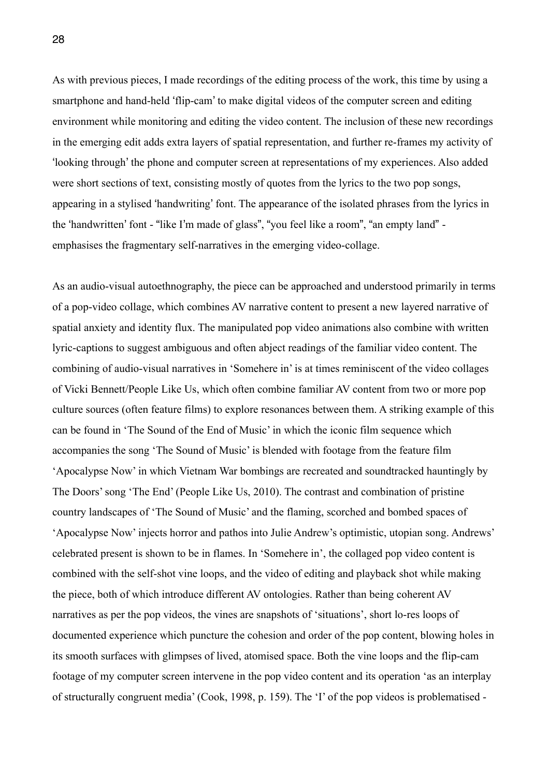As with previous pieces, I made recordings of the editing process of the work, this time by using a smartphone and hand-held 'flip-cam' to make digital videos of the computer screen and editing environment while monitoring and editing the video content. The inclusion of these new recordings in the emerging edit adds extra layers of spatial representation, and further re-frames my activity of 'looking through' the phone and computer screen at representations of my experiences. Also added were short sections of text, consisting mostly of quotes from the lyrics to the two pop songs, appearing in a stylised 'handwriting' font. The appearance of the isolated phrases from the lyrics in the 'handwritten' font - "like I'm made of glass", "you feel like a room", "an empty land" emphasises the fragmentary self-narratives in the emerging video-collage.

As an audio-visual autoethnography, the piece can be approached and understood primarily in terms of a pop-video collage, which combines AV narrative content to present a new layered narrative of spatial anxiety and identity flux. The manipulated pop video animations also combine with written lyric-captions to suggest ambiguous and often abject readings of the familiar video content. The combining of audio-visual narratives in 'Somehere in' is at times reminiscent of the video collages of Vicki Bennett/People Like Us, which often combine familiar AV content from two or more pop culture sources (often feature films) to explore resonances between them. A striking example of this can be found in 'The Sound of the End of Music' in which the iconic film sequence which accompanies the song 'The Sound of Music' is blended with footage from the feature film 'Apocalypse Now' in which Vietnam War bombings are recreated and soundtracked hauntingly by The Doors' song 'The End' (People Like Us, 2010). The contrast and combination of pristine country landscapes of 'The Sound of Music' and the flaming, scorched and bombed spaces of 'Apocalypse Now' injects horror and pathos into Julie Andrew's optimistic, utopian song. Andrews' celebrated present is shown to be in flames. In 'Somehere in', the collaged pop video content is combined with the self-shot vine loops, and the video of editing and playback shot while making the piece, both of which introduce different AV ontologies. Rather than being coherent AV narratives as per the pop videos, the vines are snapshots of 'situations', short lo-res loops of documented experience which puncture the cohesion and order of the pop content, blowing holes in its smooth surfaces with glimpses of lived, atomised space. Both the vine loops and the flip-cam footage of my computer screen intervene in the pop video content and its operation 'as an interplay of structurally congruent media' (Cook, 1998, p. 159). The 'I' of the pop videos is problematised -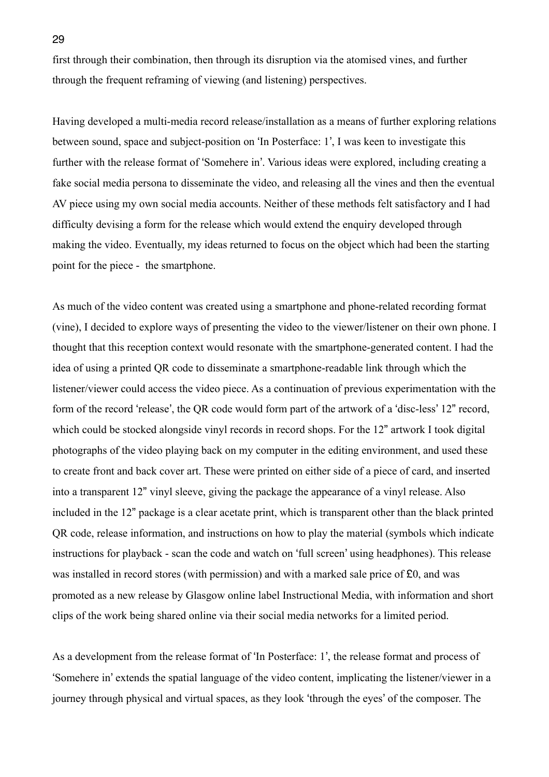first through their combination, then through its disruption via the atomised vines, and further through the frequent reframing of viewing (and listening) perspectives.

Having developed a multi-media record release/installation as a means of further exploring relations between sound, space and subject-position on 'In Posterface: 1', I was keen to investigate this further with the release format of 'Somehere in'. Various ideas were explored, including creating a fake social media persona to disseminate the video, and releasing all the vines and then the eventual AV piece using my own social media accounts. Neither of these methods felt satisfactory and I had difficulty devising a form for the release which would extend the enquiry developed through making the video. Eventually, my ideas returned to focus on the object which had been the starting point for the piece - the smartphone.

As much of the video content was created using a smartphone and phone-related recording format (vine), I decided to explore ways of presenting the video to the viewer/listener on their own phone. I thought that this reception context would resonate with the smartphone-generated content. I had the idea of using a printed QR code to disseminate a smartphone-readable link through which the listener/viewer could access the video piece. As a continuation of previous experimentation with the form of the record 'release', the QR code would form part of the artwork of a 'disc-less' 12" record, which could be stocked alongside vinyl records in record shops. For the 12" artwork I took digital photographs of the video playing back on my computer in the editing environment, and used these to create front and back cover art. These were printed on either side of a piece of card, and inserted into a transparent 12" vinyl sleeve, giving the package the appearance of a vinyl release. Also included in the 12" package is a clear acetate print, which is transparent other than the black printed QR code, release information, and instructions on how to play the material (symbols which indicate instructions for playback - scan the code and watch on 'full screen' using headphones). This release was installed in record stores (with permission) and with a marked sale price of £0, and was promoted as a new release by Glasgow online label Instructional Media, with information and short clips of the work being shared online via their social media networks for a limited period.

As a development from the release format of 'In Posterface: 1', the release format and process of 'Somehere in' extends the spatial language of the video content, implicating the listener/viewer in a journey through physical and virtual spaces, as they look 'through the eyes' of the composer. The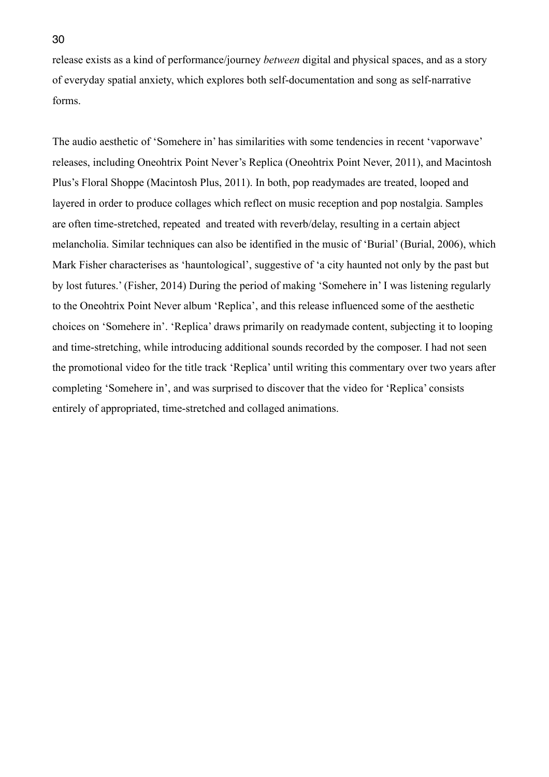release exists as a kind of performance/journey *between* digital and physical spaces, and as a story of everyday spatial anxiety, which explores both self-documentation and song as self-narrative forms.

The audio aesthetic of 'Somehere in' has similarities with some tendencies in recent 'vaporwave' releases, including Oneohtrix Point Never's Replica (Oneohtrix Point Never, 2011), and Macintosh Plus's Floral Shoppe (Macintosh Plus, 2011). In both, pop readymades are treated, looped and layered in order to produce collages which reflect on music reception and pop nostalgia. Samples are often time-stretched, repeated and treated with reverb/delay, resulting in a certain abject melancholia. Similar techniques can also be identified in the music of 'Burial' (Burial, 2006), which Mark Fisher characterises as 'hauntological', suggestive of 'a city haunted not only by the past but by lost futures.' (Fisher, 2014) During the period of making 'Somehere in' I was listening regularly to the Oneohtrix Point Never album 'Replica', and this release influenced some of the aesthetic choices on 'Somehere in'. 'Replica' draws primarily on readymade content, subjecting it to looping and time-stretching, while introducing additional sounds recorded by the composer. I had not seen the promotional video for the title track 'Replica' until writing this commentary over two years after completing 'Somehere in', and was surprised to discover that the video for 'Replica' consists entirely of appropriated, time-stretched and collaged animations.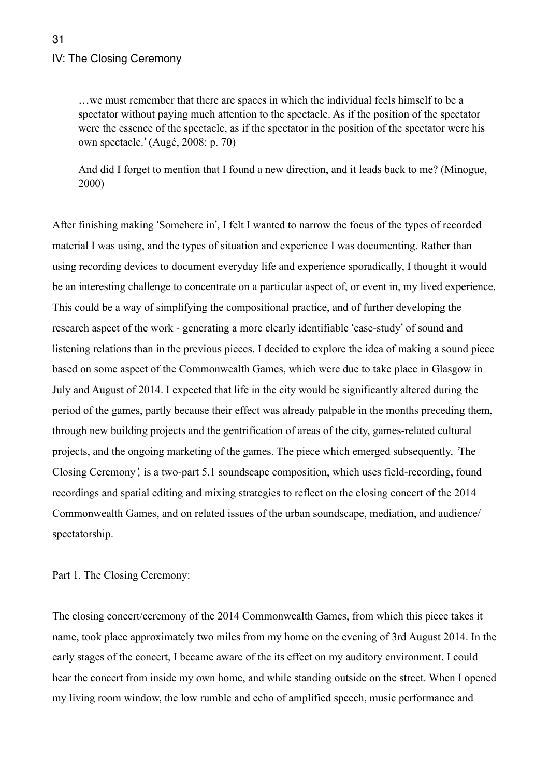## IV: The Closing Ceremony

…we must remember that there are spaces in which the individual feels himself to be a spectator without paying much attention to the spectacle. As if the position of the spectator were the essence of the spectacle, as if the spectator in the position of the spectator were his own spectacle.' (Augé, 2008: p. 70)

 And did I forget to mention that I found a new direction, and it leads back to me? (Minogue, 2000)

After finishing making 'Somehere in', I felt I wanted to narrow the focus of the types of recorded material I was using, and the types of situation and experience I was documenting. Rather than using recording devices to document everyday life and experience sporadically, I thought it would be an interesting challenge to concentrate on a particular aspect of, or event in, my lived experience. This could be a way of simplifying the compositional practice, and of further developing the research aspect of the work - generating a more clearly identifiable 'case-study' of sound and listening relations than in the previous pieces. I decided to explore the idea of making a sound piece based on some aspect of the Commonwealth Games, which were due to take place in Glasgow in July and August of 2014. I expected that life in the city would be significantly altered during the period of the games, partly because their effect was already palpable in the months preceding them, through new building projects and the gentrification of areas of the city, games-related cultural projects, and the ongoing marketing of the games. The piece which emerged subsequently, *'*The Closing Ceremony*',* is a two-part 5.1 soundscape composition, which uses field-recording, found recordings and spatial editing and mixing strategies to reflect on the closing concert of the 2014 Commonwealth Games, and on related issues of the urban soundscape, mediation, and audience/ spectatorship.

Part 1. The Closing Ceremony:

The closing concert/ceremony of the 2014 Commonwealth Games, from which this piece takes it name, took place approximately two miles from my home on the evening of 3rd August 2014. In the early stages of the concert, I became aware of the its effect on my auditory environment. I could hear the concert from inside my own home, and while standing outside on the street. When I opened my living room window, the low rumble and echo of amplified speech, music performance and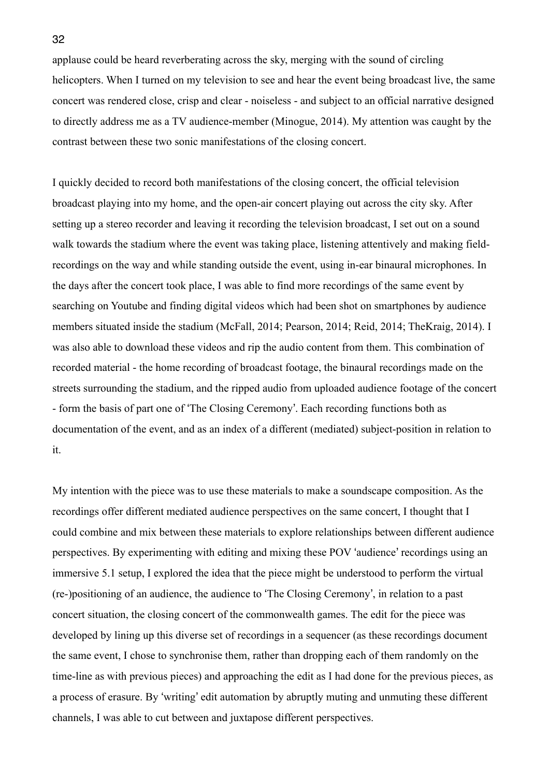applause could be heard reverberating across the sky, merging with the sound of circling helicopters. When I turned on my television to see and hear the event being broadcast live, the same concert was rendered close, crisp and clear - noiseless - and subject to an official narrative designed to directly address me as a TV audience-member (Minogue, 2014). My attention was caught by the contrast between these two sonic manifestations of the closing concert.

I quickly decided to record both manifestations of the closing concert, the official television broadcast playing into my home, and the open-air concert playing out across the city sky. After setting up a stereo recorder and leaving it recording the television broadcast, I set out on a sound walk towards the stadium where the event was taking place, listening attentively and making fieldrecordings on the way and while standing outside the event, using in-ear binaural microphones. In the days after the concert took place, I was able to find more recordings of the same event by searching on Youtube and finding digital videos which had been shot on smartphones by audience members situated inside the stadium (McFall, 2014; Pearson, 2014; Reid, 2014; TheKraig, 2014). I was also able to download these videos and rip the audio content from them. This combination of recorded material - the home recording of broadcast footage, the binaural recordings made on the streets surrounding the stadium, and the ripped audio from uploaded audience footage of the concert - form the basis of part one of 'The Closing Ceremony'. Each recording functions both as documentation of the event, and as an index of a different (mediated) subject-position in relation to it.

My intention with the piece was to use these materials to make a soundscape composition. As the recordings offer different mediated audience perspectives on the same concert, I thought that I could combine and mix between these materials to explore relationships between different audience perspectives. By experimenting with editing and mixing these POV 'audience' recordings using an immersive 5.1 setup, I explored the idea that the piece might be understood to perform the virtual (re-)positioning of an audience, the audience to 'The Closing Ceremony', in relation to a past concert situation, the closing concert of the commonwealth games. The edit for the piece was developed by lining up this diverse set of recordings in a sequencer (as these recordings document the same event, I chose to synchronise them, rather than dropping each of them randomly on the time-line as with previous pieces) and approaching the edit as I had done for the previous pieces, as a process of erasure. By 'writing' edit automation by abruptly muting and unmuting these different channels, I was able to cut between and juxtapose different perspectives.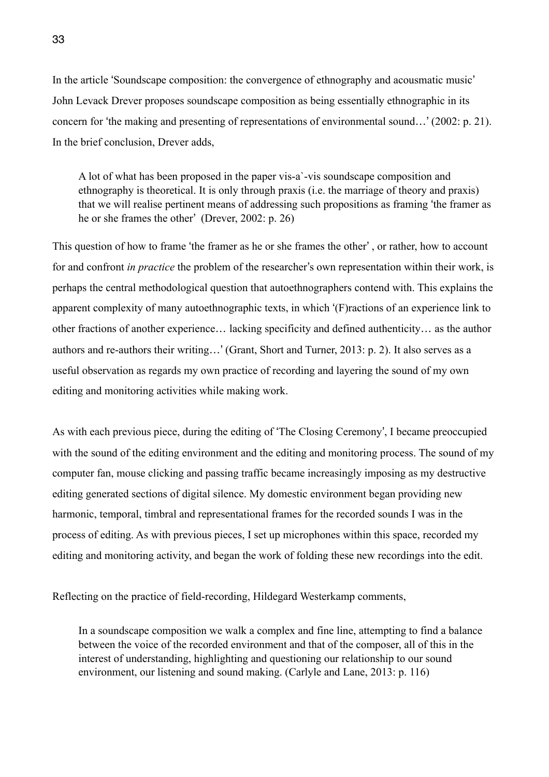In the article 'Soundscape composition: the convergence of ethnography and acousmatic music' John Levack Drever proposes soundscape composition as being essentially ethnographic in its concern for 'the making and presenting of representations of environmental sound…' (2002: p. 21). In the brief conclusion, Drever adds,

 A lot of what has been proposed in the paper vis-a`-vis soundscape composition and ethnography is theoretical. It is only through praxis (i.e. the marriage of theory and praxis) that we will realise pertinent means of addressing such propositions as framing 'the framer as he or she frames the other' (Drever, 2002: p. 26)

This question of how to frame 'the framer as he or she frames the other' , or rather, how to account for and confront *in practice* the problem of the researcher's own representation within their work, is perhaps the central methodological question that autoethnographers contend with. This explains the apparent complexity of many autoethnographic texts, in which '(F)ractions of an experience link to other fractions of another experience… lacking specificity and defined authenticity… as the author authors and re-authors their writing…' (Grant, Short and Turner, 2013: p. 2). It also serves as a useful observation as regards my own practice of recording and layering the sound of my own editing and monitoring activities while making work.

As with each previous piece, during the editing of 'The Closing Ceremony', I became preoccupied with the sound of the editing environment and the editing and monitoring process. The sound of my computer fan, mouse clicking and passing traffic became increasingly imposing as my destructive editing generated sections of digital silence. My domestic environment began providing new harmonic, temporal, timbral and representational frames for the recorded sounds I was in the process of editing. As with previous pieces, I set up microphones within this space, recorded my editing and monitoring activity, and began the work of folding these new recordings into the edit.

Reflecting on the practice of field-recording, Hildegard Westerkamp comments,

 In a soundscape composition we walk a complex and fine line, attempting to find a balance between the voice of the recorded environment and that of the composer, all of this in the interest of understanding, highlighting and questioning our relationship to our sound environment, our listening and sound making. (Carlyle and Lane, 2013: p. 116)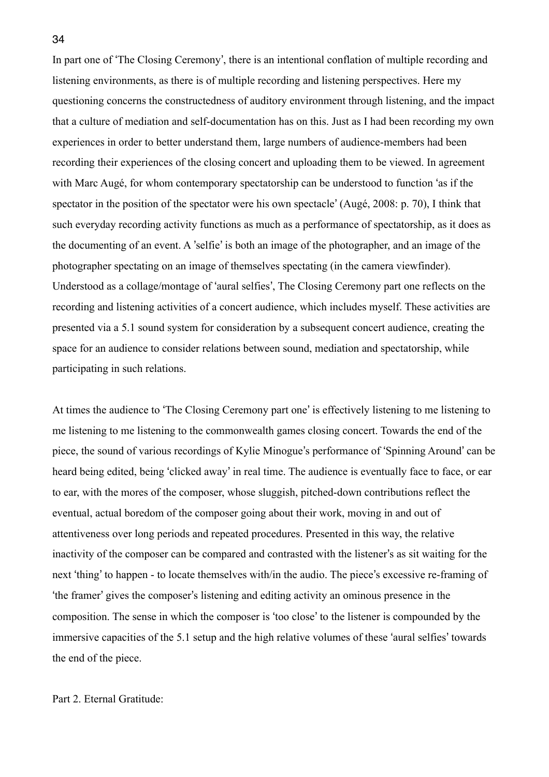In part one of 'The Closing Ceremony', there is an intentional conflation of multiple recording and listening environments, as there is of multiple recording and listening perspectives. Here my questioning concerns the constructedness of auditory environment through listening, and the impact that a culture of mediation and self-documentation has on this. Just as I had been recording my own experiences in order to better understand them, large numbers of audience-members had been recording their experiences of the closing concert and uploading them to be viewed. In agreement with Marc Augé, for whom contemporary spectatorship can be understood to function 'as if the spectator in the position of the spectator were his own spectacle' (Augé, 2008: p. 70), I think that such everyday recording activity functions as much as a performance of spectatorship, as it does as the documenting of an event. A 'selfie' is both an image of the photographer, and an image of the photographer spectating on an image of themselves spectating (in the camera viewfinder). Understood as a collage/montage of 'aural selfies', The Closing Ceremony part one reflects on the recording and listening activities of a concert audience, which includes myself. These activities are presented via a 5.1 sound system for consideration by a subsequent concert audience, creating the space for an audience to consider relations between sound, mediation and spectatorship, while participating in such relations.

At times the audience to 'The Closing Ceremony part one' is effectively listening to me listening to me listening to me listening to the commonwealth games closing concert. Towards the end of the piece, the sound of various recordings of Kylie Minogue's performance of 'Spinning Around' can be heard being edited, being 'clicked away' in real time. The audience is eventually face to face, or ear to ear, with the mores of the composer, whose sluggish, pitched-down contributions reflect the eventual, actual boredom of the composer going about their work, moving in and out of attentiveness over long periods and repeated procedures. Presented in this way, the relative inactivity of the composer can be compared and contrasted with the listener's as sit waiting for the next 'thing' to happen - to locate themselves with/in the audio. The piece's excessive re-framing of 'the framer' gives the composer's listening and editing activity an ominous presence in the composition. The sense in which the composer is 'too close' to the listener is compounded by the immersive capacities of the 5.1 setup and the high relative volumes of these 'aural selfies' towards the end of the piece.

Part 2. Eternal Gratitude: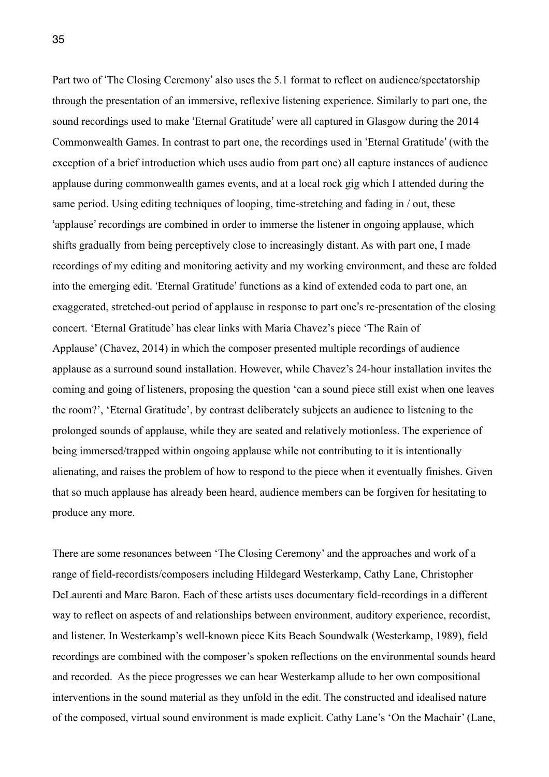Part two of 'The Closing Ceremony' also uses the 5.1 format to reflect on audience/spectatorship through the presentation of an immersive, reflexive listening experience. Similarly to part one, the sound recordings used to make 'Eternal Gratitude' were all captured in Glasgow during the 2014 Commonwealth Games. In contrast to part one, the recordings used in 'Eternal Gratitude' (with the exception of a brief introduction which uses audio from part one) all capture instances of audience applause during commonwealth games events, and at a local rock gig which I attended during the same period. Using editing techniques of looping, time-stretching and fading in / out, these 'applause' recordings are combined in order to immerse the listener in ongoing applause, which shifts gradually from being perceptively close to increasingly distant. As with part one, I made recordings of my editing and monitoring activity and my working environment, and these are folded into the emerging edit. 'Eternal Gratitude' functions as a kind of extended coda to part one, an exaggerated, stretched-out period of applause in response to part one's re-presentation of the closing concert. 'Eternal Gratitude' has clear links with Maria Chavez's piece 'The Rain of Applause' (Chavez, 2014) in which the composer presented multiple recordings of audience applause as a surround sound installation. However, while Chavez's 24-hour installation invites the coming and going of listeners, proposing the question 'can a sound piece still exist when one leaves the room?', 'Eternal Gratitude', by contrast deliberately subjects an audience to listening to the prolonged sounds of applause, while they are seated and relatively motionless. The experience of being immersed/trapped within ongoing applause while not contributing to it is intentionally alienating, and raises the problem of how to respond to the piece when it eventually finishes. Given that so much applause has already been heard, audience members can be forgiven for hesitating to produce any more.

There are some resonances between 'The Closing Ceremony' and the approaches and work of a range of field-recordists/composers including Hildegard Westerkamp, Cathy Lane, Christopher DeLaurenti and Marc Baron. Each of these artists uses documentary field-recordings in a different way to reflect on aspects of and relationships between environment, auditory experience, recordist, and listener. In Westerkamp's well-known piece Kits Beach Soundwalk (Westerkamp, 1989), field recordings are combined with the composer's spoken reflections on the environmental sounds heard and recorded. As the piece progresses we can hear Westerkamp allude to her own compositional interventions in the sound material as they unfold in the edit. The constructed and idealised nature of the composed, virtual sound environment is made explicit. Cathy Lane's 'On the Machair' (Lane,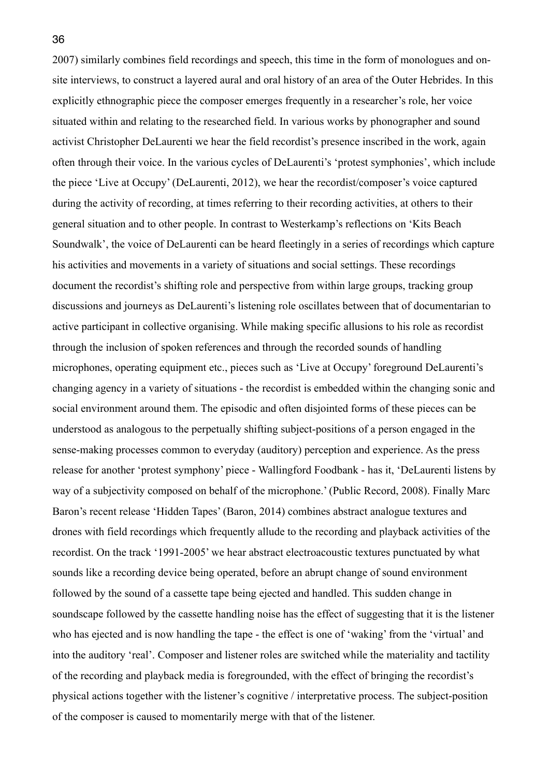2007) similarly combines field recordings and speech, this time in the form of monologues and onsite interviews, to construct a layered aural and oral history of an area of the Outer Hebrides. In this explicitly ethnographic piece the composer emerges frequently in a researcher's role, her voice situated within and relating to the researched field. In various works by phonographer and sound activist Christopher DeLaurenti we hear the field recordist's presence inscribed in the work, again often through their voice. In the various cycles of DeLaurenti's 'protest symphonies', which include the piece 'Live at Occupy' (DeLaurenti, 2012), we hear the recordist/composer's voice captured during the activity of recording, at times referring to their recording activities, at others to their general situation and to other people. In contrast to Westerkamp's reflections on 'Kits Beach Soundwalk', the voice of DeLaurenti can be heard fleetingly in a series of recordings which capture his activities and movements in a variety of situations and social settings. These recordings document the recordist's shifting role and perspective from within large groups, tracking group discussions and journeys as DeLaurenti's listening role oscillates between that of documentarian to active participant in collective organising. While making specific allusions to his role as recordist through the inclusion of spoken references and through the recorded sounds of handling microphones, operating equipment etc., pieces such as 'Live at Occupy' foreground DeLaurenti's changing agency in a variety of situations - the recordist is embedded within the changing sonic and social environment around them. The episodic and often disjointed forms of these pieces can be understood as analogous to the perpetually shifting subject-positions of a person engaged in the sense-making processes common to everyday (auditory) perception and experience. As the press release for another 'protest symphony' piece - Wallingford Foodbank - has it, 'DeLaurenti listens by way of a subjectivity composed on behalf of the microphone.' (Public Record, 2008). Finally Marc Baron's recent release 'Hidden Tapes' (Baron, 2014) combines abstract analogue textures and drones with field recordings which frequently allude to the recording and playback activities of the recordist. On the track '1991-2005' we hear abstract electroacoustic textures punctuated by what sounds like a recording device being operated, before an abrupt change of sound environment followed by the sound of a cassette tape being ejected and handled. This sudden change in soundscape followed by the cassette handling noise has the effect of suggesting that it is the listener who has ejected and is now handling the tape - the effect is one of 'waking' from the 'virtual' and into the auditory 'real'. Composer and listener roles are switched while the materiality and tactility of the recording and playback media is foregrounded, with the effect of bringing the recordist's physical actions together with the listener's cognitive / interpretative process. The subject-position of the composer is caused to momentarily merge with that of the listener.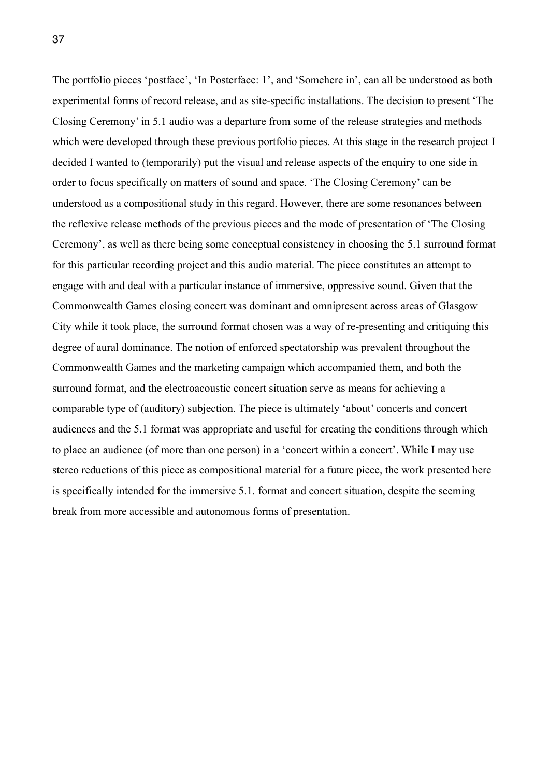The portfolio pieces 'postface', 'In Posterface: 1', and 'Somehere in', can all be understood as both experimental forms of record release, and as site-specific installations. The decision to present 'The Closing Ceremony' in 5.1 audio was a departure from some of the release strategies and methods which were developed through these previous portfolio pieces. At this stage in the research project I decided I wanted to (temporarily) put the visual and release aspects of the enquiry to one side in order to focus specifically on matters of sound and space. 'The Closing Ceremony' can be understood as a compositional study in this regard. However, there are some resonances between the reflexive release methods of the previous pieces and the mode of presentation of 'The Closing Ceremony', as well as there being some conceptual consistency in choosing the 5.1 surround format for this particular recording project and this audio material. The piece constitutes an attempt to engage with and deal with a particular instance of immersive, oppressive sound. Given that the Commonwealth Games closing concert was dominant and omnipresent across areas of Glasgow City while it took place, the surround format chosen was a way of re-presenting and critiquing this degree of aural dominance. The notion of enforced spectatorship was prevalent throughout the Commonwealth Games and the marketing campaign which accompanied them, and both the surround format, and the electroacoustic concert situation serve as means for achieving a comparable type of (auditory) subjection. The piece is ultimately 'about' concerts and concert audiences and the 5.1 format was appropriate and useful for creating the conditions through which to place an audience (of more than one person) in a 'concert within a concert'. While I may use stereo reductions of this piece as compositional material for a future piece, the work presented here is specifically intended for the immersive 5.1. format and concert situation, despite the seeming break from more accessible and autonomous forms of presentation.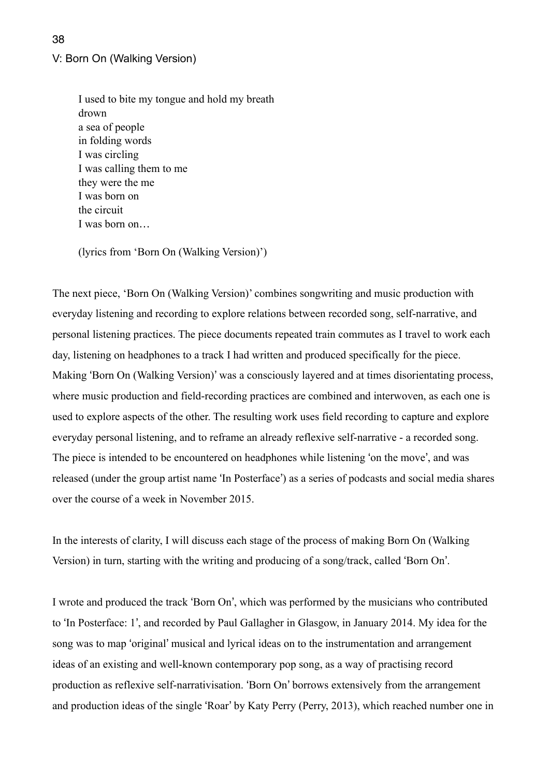V: Born On (Walking Version)

 I used to bite my tongue and hold my breath drown a sea of people in folding words I was circling I was calling them to me they were the me I was born on the circuit I was born on…

(lyrics from 'Born On (Walking Version)')

The next piece, 'Born On (Walking Version)' combines songwriting and music production with everyday listening and recording to explore relations between recorded song, self-narrative, and personal listening practices. The piece documents repeated train commutes as I travel to work each day, listening on headphones to a track I had written and produced specifically for the piece. Making 'Born On (Walking Version)' was a consciously layered and at times disorientating process, where music production and field-recording practices are combined and interwoven, as each one is used to explore aspects of the other. The resulting work uses field recording to capture and explore everyday personal listening, and to reframe an already reflexive self-narrative - a recorded song. The piece is intended to be encountered on headphones while listening 'on the move', and was released (under the group artist name 'In Posterface') as a series of podcasts and social media shares over the course of a week in November 2015.

In the interests of clarity, I will discuss each stage of the process of making Born On (Walking Version) in turn, starting with the writing and producing of a song/track, called 'Born On'.

I wrote and produced the track 'Born On', which was performed by the musicians who contributed to 'In Posterface: 1', and recorded by Paul Gallagher in Glasgow, in January 2014. My idea for the song was to map 'original' musical and lyrical ideas on to the instrumentation and arrangement ideas of an existing and well-known contemporary pop song, as a way of practising record production as reflexive self-narrativisation. 'Born On' borrows extensively from the arrangement and production ideas of the single 'Roar' by Katy Perry (Perry, 2013), which reached number one in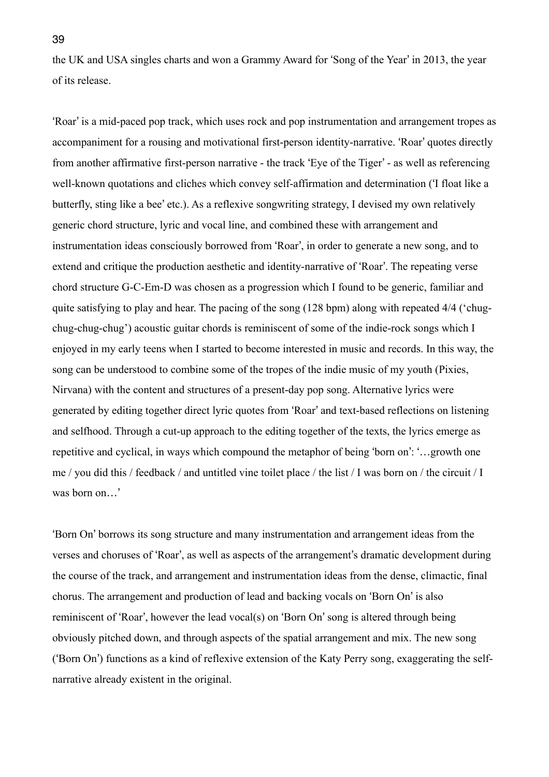the UK and USA singles charts and won a Grammy Award for 'Song of the Year' in 2013, the year of its release.

'Roar' is a mid-paced pop track, which uses rock and pop instrumentation and arrangement tropes as accompaniment for a rousing and motivational first-person identity-narrative. 'Roar' quotes directly from another affirmative first-person narrative - the track 'Eye of the Tiger' - as well as referencing well-known quotations and cliches which convey self-affirmation and determination ('I float like a butterfly, sting like a bee' etc.). As a reflexive songwriting strategy, I devised my own relatively generic chord structure, lyric and vocal line, and combined these with arrangement and instrumentation ideas consciously borrowed from 'Roar', in order to generate a new song, and to extend and critique the production aesthetic and identity-narrative of 'Roar'. The repeating verse chord structure G-C-Em-D was chosen as a progression which I found to be generic, familiar and quite satisfying to play and hear. The pacing of the song (128 bpm) along with repeated 4/4 ('chugchug-chug-chug') acoustic guitar chords is reminiscent of some of the indie-rock songs which I enjoyed in my early teens when I started to become interested in music and records. In this way, the song can be understood to combine some of the tropes of the indie music of my youth (Pixies, Nirvana) with the content and structures of a present-day pop song. Alternative lyrics were generated by editing together direct lyric quotes from 'Roar' and text-based reflections on listening and selfhood. Through a cut-up approach to the editing together of the texts, the lyrics emerge as repetitive and cyclical, in ways which compound the metaphor of being 'born on': '…growth one me / you did this / feedback / and untitled vine toilet place / the list / I was born on / the circuit / I was born on…'

'Born On' borrows its song structure and many instrumentation and arrangement ideas from the verses and choruses of 'Roar', as well as aspects of the arrangement's dramatic development during the course of the track, and arrangement and instrumentation ideas from the dense, climactic, final chorus. The arrangement and production of lead and backing vocals on 'Born On' is also reminiscent of 'Roar', however the lead vocal(s) on 'Born On' song is altered through being obviously pitched down, and through aspects of the spatial arrangement and mix. The new song ('Born On') functions as a kind of reflexive extension of the Katy Perry song, exaggerating the selfnarrative already existent in the original.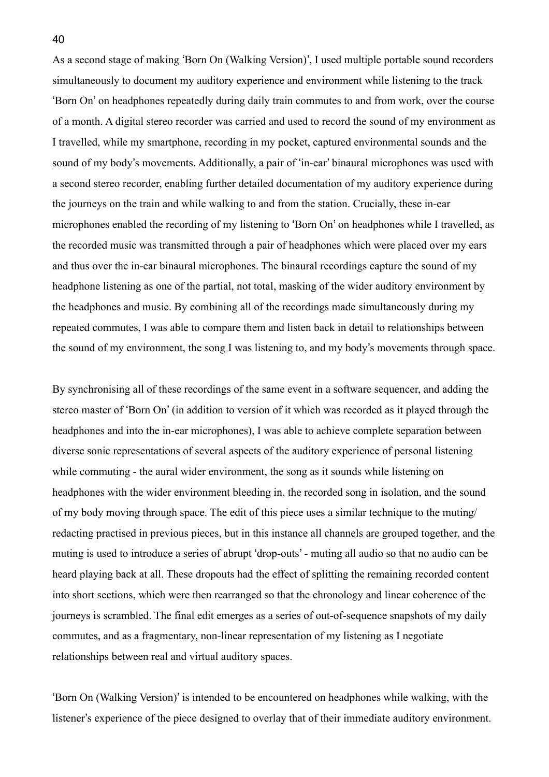As a second stage of making 'Born On (Walking Version)', I used multiple portable sound recorders simultaneously to document my auditory experience and environment while listening to the track 'Born On' on headphones repeatedly during daily train commutes to and from work, over the course of a month. A digital stereo recorder was carried and used to record the sound of my environment as I travelled, while my smartphone, recording in my pocket, captured environmental sounds and the sound of my body's movements. Additionally, a pair of 'in-ear' binaural microphones was used with a second stereo recorder, enabling further detailed documentation of my auditory experience during the journeys on the train and while walking to and from the station. Crucially, these in-ear microphones enabled the recording of my listening to 'Born On' on headphones while I travelled, as the recorded music was transmitted through a pair of headphones which were placed over my ears and thus over the in-ear binaural microphones. The binaural recordings capture the sound of my headphone listening as one of the partial, not total, masking of the wider auditory environment by the headphones and music. By combining all of the recordings made simultaneously during my repeated commutes, I was able to compare them and listen back in detail to relationships between the sound of my environment, the song I was listening to, and my body's movements through space.

By synchronising all of these recordings of the same event in a software sequencer, and adding the stereo master of 'Born On' (in addition to version of it which was recorded as it played through the headphones and into the in-ear microphones), I was able to achieve complete separation between diverse sonic representations of several aspects of the auditory experience of personal listening while commuting - the aural wider environment, the song as it sounds while listening on headphones with the wider environment bleeding in, the recorded song in isolation, and the sound of my body moving through space. The edit of this piece uses a similar technique to the muting/ redacting practised in previous pieces, but in this instance all channels are grouped together, and the muting is used to introduce a series of abrupt 'drop-outs' - muting all audio so that no audio can be heard playing back at all. These dropouts had the effect of splitting the remaining recorded content into short sections, which were then rearranged so that the chronology and linear coherence of the journeys is scrambled. The final edit emerges as a series of out-of-sequence snapshots of my daily commutes, and as a fragmentary, non-linear representation of my listening as I negotiate relationships between real and virtual auditory spaces.

'Born On (Walking Version)' is intended to be encountered on headphones while walking, with the listener's experience of the piece designed to overlay that of their immediate auditory environment.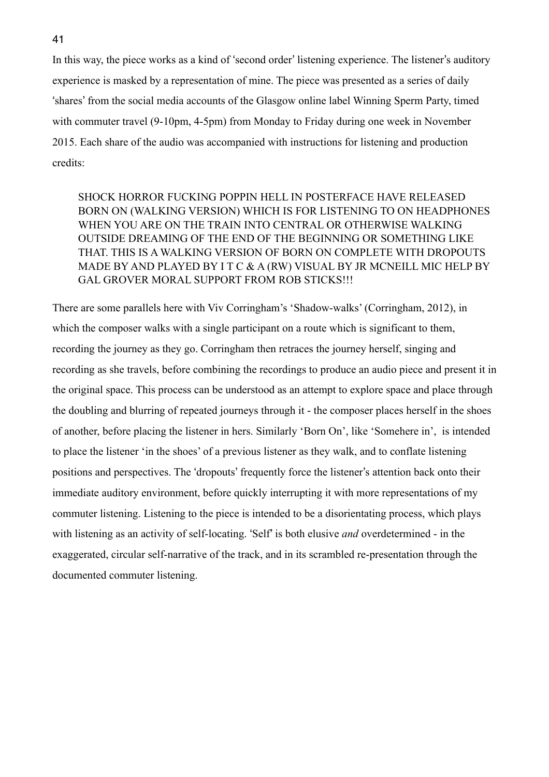In this way, the piece works as a kind of 'second order' listening experience. The listener's auditory experience is masked by a representation of mine. The piece was presented as a series of daily 'shares' from the social media accounts of the Glasgow online label Winning Sperm Party, timed with commuter travel (9-10pm, 4-5pm) from Monday to Friday during one week in November 2015. Each share of the audio was accompanied with instructions for listening and production credits:

 SHOCK HORROR FUCKING POPPIN HELL IN POSTERFACE HAVE RELEASED BORN ON (WALKING VERSION) WHICH IS FOR LISTENING TO ON HEADPHONES WHEN YOU ARE ON THE TRAIN INTO CENTRAL OR OTHERWISE WALKING OUTSIDE DREAMING OF THE END OF THE BEGINNING OR SOMETHING LIKE THAT. THIS IS A WALKING VERSION OF BORN ON COMPLETE WITH DROPOUTS MADE BY AND PLAYED BY I T C & A (RW) VISUAL BY JR MCNEILL MIC HELP BY GAL GROVER MORAL SUPPORT FROM ROB STICKS!!!

There are some parallels here with Viv Corringham's 'Shadow-walks' (Corringham, 2012), in which the composer walks with a single participant on a route which is significant to them, recording the journey as they go. Corringham then retraces the journey herself, singing and recording as she travels, before combining the recordings to produce an audio piece and present it in the original space. This process can be understood as an attempt to explore space and place through the doubling and blurring of repeated journeys through it - the composer places herself in the shoes of another, before placing the listener in hers. Similarly 'Born On', like 'Somehere in', is intended to place the listener 'in the shoes' of a previous listener as they walk, and to conflate listening positions and perspectives. The 'dropouts' frequently force the listener's attention back onto their immediate auditory environment, before quickly interrupting it with more representations of my commuter listening. Listening to the piece is intended to be a disorientating process, which plays with listening as an activity of self-locating. 'Self' is both elusive *and* overdetermined - in the exaggerated, circular self-narrative of the track, and in its scrambled re-presentation through the documented commuter listening.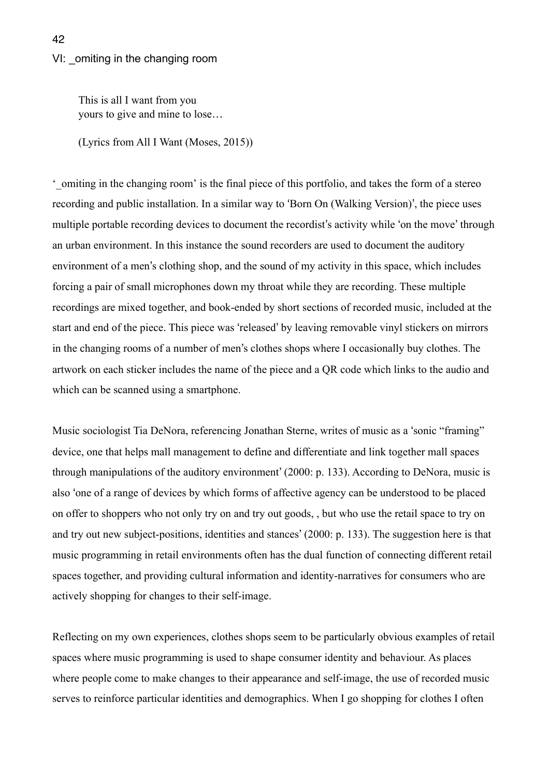VI: omiting in the changing room

 This is all I want from you yours to give and mine to lose…

(Lyrics from All I Want (Moses, 2015))

'\_omiting in the changing room' is the final piece of this portfolio, and takes the form of a stereo recording and public installation. In a similar way to 'Born On (Walking Version)', the piece uses multiple portable recording devices to document the recordist's activity while 'on the move' through an urban environment. In this instance the sound recorders are used to document the auditory environment of a men's clothing shop, and the sound of my activity in this space, which includes forcing a pair of small microphones down my throat while they are recording. These multiple recordings are mixed together, and book-ended by short sections of recorded music, included at the start and end of the piece. This piece was 'released' by leaving removable vinyl stickers on mirrors in the changing rooms of a number of men's clothes shops where I occasionally buy clothes. The artwork on each sticker includes the name of the piece and a QR code which links to the audio and which can be scanned using a smartphone.

Music sociologist Tia DeNora, referencing Jonathan Sterne, writes of music as a 'sonic "framing" device, one that helps mall management to define and differentiate and link together mall spaces through manipulations of the auditory environment' (2000: p. 133). According to DeNora, music is also 'one of a range of devices by which forms of affective agency can be understood to be placed on offer to shoppers who not only try on and try out goods, , but who use the retail space to try on and try out new subject-positions, identities and stances' (2000: p. 133). The suggestion here is that music programming in retail environments often has the dual function of connecting different retail spaces together, and providing cultural information and identity-narratives for consumers who are actively shopping for changes to their self-image.

Reflecting on my own experiences, clothes shops seem to be particularly obvious examples of retail spaces where music programming is used to shape consumer identity and behaviour. As places where people come to make changes to their appearance and self-image, the use of recorded music serves to reinforce particular identities and demographics. When I go shopping for clothes I often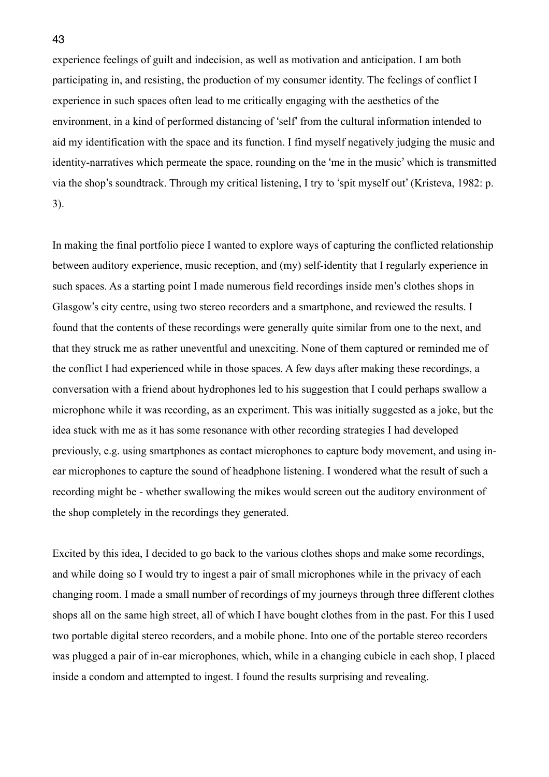experience feelings of guilt and indecision, as well as motivation and anticipation. I am both participating in, and resisting, the production of my consumer identity. The feelings of conflict I experience in such spaces often lead to me critically engaging with the aesthetics of the environment, in a kind of performed distancing of 'self' from the cultural information intended to aid my identification with the space and its function. I find myself negatively judging the music and identity-narratives which permeate the space, rounding on the 'me in the music' which is transmitted via the shop's soundtrack. Through my critical listening, I try to 'spit myself out' (Kristeva, 1982: p. 3).

In making the final portfolio piece I wanted to explore ways of capturing the conflicted relationship between auditory experience, music reception, and (my) self-identity that I regularly experience in such spaces. As a starting point I made numerous field recordings inside men's clothes shops in Glasgow's city centre, using two stereo recorders and a smartphone, and reviewed the results. I found that the contents of these recordings were generally quite similar from one to the next, and that they struck me as rather uneventful and unexciting. None of them captured or reminded me of the conflict I had experienced while in those spaces. A few days after making these recordings, a conversation with a friend about hydrophones led to his suggestion that I could perhaps swallow a microphone while it was recording, as an experiment. This was initially suggested as a joke, but the idea stuck with me as it has some resonance with other recording strategies I had developed previously, e.g. using smartphones as contact microphones to capture body movement, and using inear microphones to capture the sound of headphone listening. I wondered what the result of such a recording might be - whether swallowing the mikes would screen out the auditory environment of the shop completely in the recordings they generated.

Excited by this idea, I decided to go back to the various clothes shops and make some recordings, and while doing so I would try to ingest a pair of small microphones while in the privacy of each changing room. I made a small number of recordings of my journeys through three different clothes shops all on the same high street, all of which I have bought clothes from in the past. For this I used two portable digital stereo recorders, and a mobile phone. Into one of the portable stereo recorders was plugged a pair of in-ear microphones, which, while in a changing cubicle in each shop, I placed inside a condom and attempted to ingest. I found the results surprising and revealing.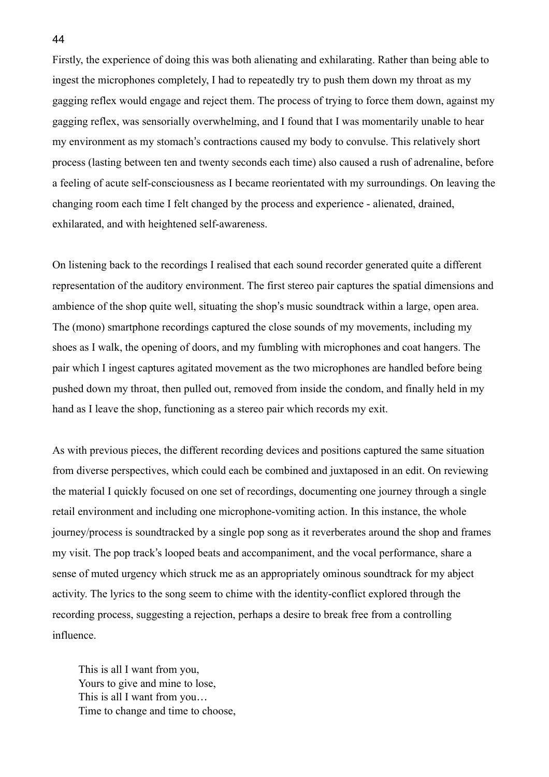Firstly, the experience of doing this was both alienating and exhilarating. Rather than being able to ingest the microphones completely, I had to repeatedly try to push them down my throat as my gagging reflex would engage and reject them. The process of trying to force them down, against my gagging reflex, was sensorially overwhelming, and I found that I was momentarily unable to hear my environment as my stomach's contractions caused my body to convulse. This relatively short process (lasting between ten and twenty seconds each time) also caused a rush of adrenaline, before a feeling of acute self-consciousness as I became reorientated with my surroundings. On leaving the changing room each time I felt changed by the process and experience - alienated, drained, exhilarated, and with heightened self-awareness.

On listening back to the recordings I realised that each sound recorder generated quite a different representation of the auditory environment. The first stereo pair captures the spatial dimensions and ambience of the shop quite well, situating the shop's music soundtrack within a large, open area. The (mono) smartphone recordings captured the close sounds of my movements, including my shoes as I walk, the opening of doors, and my fumbling with microphones and coat hangers. The pair which I ingest captures agitated movement as the two microphones are handled before being pushed down my throat, then pulled out, removed from inside the condom, and finally held in my hand as I leave the shop, functioning as a stereo pair which records my exit.

As with previous pieces, the different recording devices and positions captured the same situation from diverse perspectives, which could each be combined and juxtaposed in an edit. On reviewing the material I quickly focused on one set of recordings, documenting one journey through a single retail environment and including one microphone-vomiting action. In this instance, the whole journey/process is soundtracked by a single pop song as it reverberates around the shop and frames my visit. The pop track's looped beats and accompaniment, and the vocal performance, share a sense of muted urgency which struck me as an appropriately ominous soundtrack for my abject activity. The lyrics to the song seem to chime with the identity-conflict explored through the recording process, suggesting a rejection, perhaps a desire to break free from a controlling influence.

 This is all I want from you, Yours to give and mine to lose, This is all I want from you… Time to change and time to choose,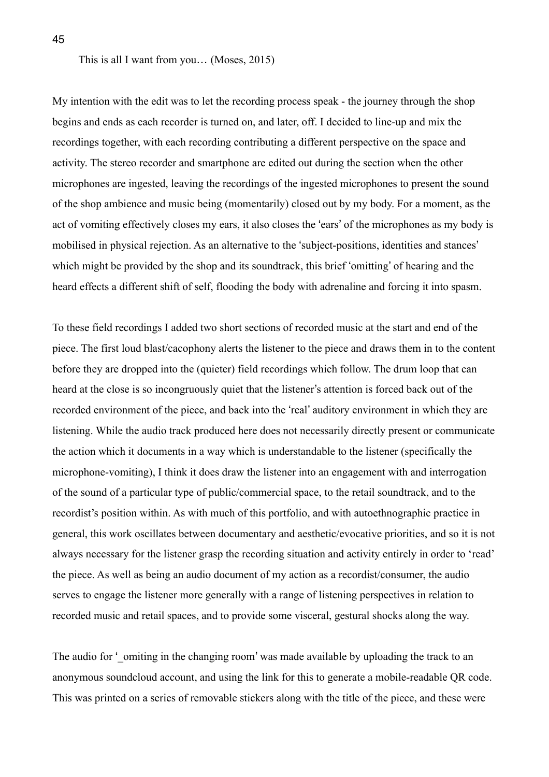This is all I want from you… (Moses, 2015)

My intention with the edit was to let the recording process speak - the journey through the shop begins and ends as each recorder is turned on, and later, off. I decided to line-up and mix the recordings together, with each recording contributing a different perspective on the space and activity. The stereo recorder and smartphone are edited out during the section when the other microphones are ingested, leaving the recordings of the ingested microphones to present the sound of the shop ambience and music being (momentarily) closed out by my body. For a moment, as the act of vomiting effectively closes my ears, it also closes the 'ears' of the microphones as my body is mobilised in physical rejection. As an alternative to the 'subject-positions, identities and stances' which might be provided by the shop and its soundtrack, this brief 'omitting' of hearing and the heard effects a different shift of self, flooding the body with adrenaline and forcing it into spasm.

To these field recordings I added two short sections of recorded music at the start and end of the piece. The first loud blast/cacophony alerts the listener to the piece and draws them in to the content before they are dropped into the (quieter) field recordings which follow. The drum loop that can heard at the close is so incongruously quiet that the listener's attention is forced back out of the recorded environment of the piece, and back into the 'real' auditory environment in which they are listening. While the audio track produced here does not necessarily directly present or communicate the action which it documents in a way which is understandable to the listener (specifically the microphone-vomiting), I think it does draw the listener into an engagement with and interrogation of the sound of a particular type of public/commercial space, to the retail soundtrack, and to the recordist's position within. As with much of this portfolio, and with autoethnographic practice in general, this work oscillates between documentary and aesthetic/evocative priorities, and so it is not always necessary for the listener grasp the recording situation and activity entirely in order to 'read' the piece. As well as being an audio document of my action as a recordist/consumer, the audio serves to engage the listener more generally with a range of listening perspectives in relation to recorded music and retail spaces, and to provide some visceral, gestural shocks along the way.

The audio for '\_omiting in the changing room' was made available by uploading the track to an anonymous soundcloud account, and using the link for this to generate a mobile-readable QR code. This was printed on a series of removable stickers along with the title of the piece, and these were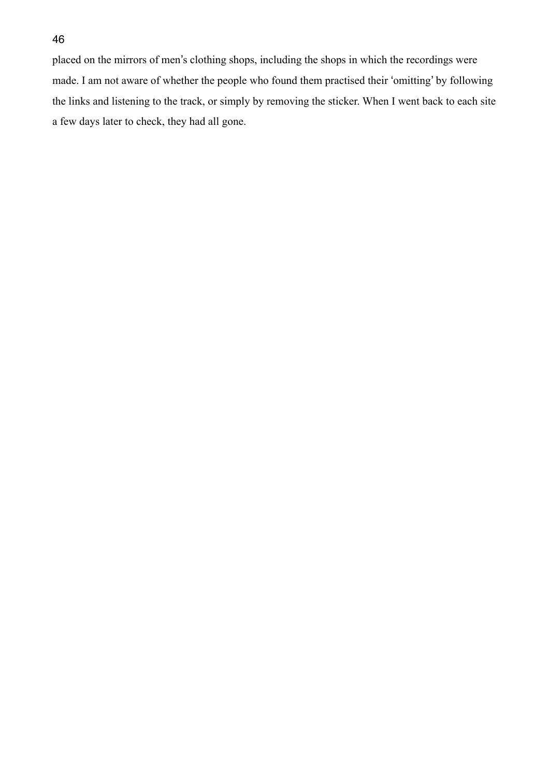placed on the mirrors of men's clothing shops, including the shops in which the recordings were made. I am not aware of whether the people who found them practised their 'omitting' by following the links and listening to the track, or simply by removing the sticker. When I went back to each site a few days later to check, they had all gone.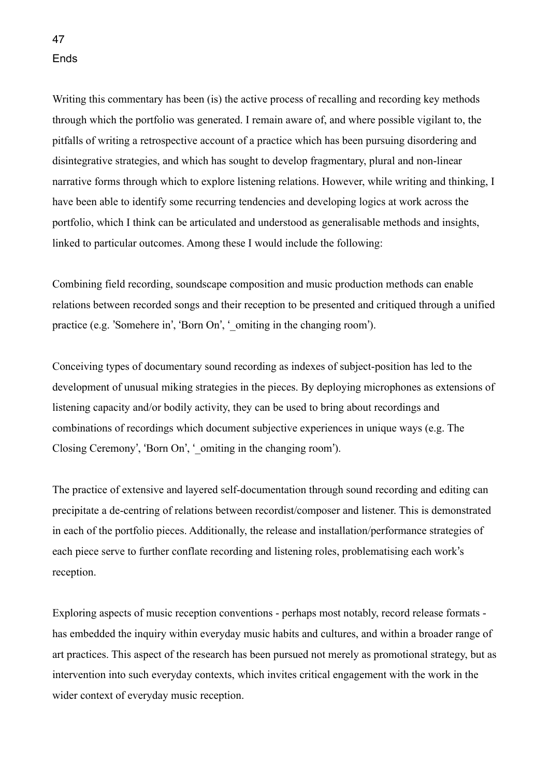## Ends

47

Writing this commentary has been (is) the active process of recalling and recording key methods through which the portfolio was generated. I remain aware of, and where possible vigilant to, the pitfalls of writing a retrospective account of a practice which has been pursuing disordering and disintegrative strategies, and which has sought to develop fragmentary, plural and non-linear narrative forms through which to explore listening relations. However, while writing and thinking, I have been able to identify some recurring tendencies and developing logics at work across the portfolio, which I think can be articulated and understood as generalisable methods and insights, linked to particular outcomes. Among these I would include the following:

Combining field recording, soundscape composition and music production methods can enable relations between recorded songs and their reception to be presented and critiqued through a unified practice (e.g. 'Somehere in', 'Born On', '\_omiting in the changing room').

Conceiving types of documentary sound recording as indexes of subject-position has led to the development of unusual miking strategies in the pieces. By deploying microphones as extensions of listening capacity and/or bodily activity, they can be used to bring about recordings and combinations of recordings which document subjective experiences in unique ways (e.g. The Closing Ceremony', 'Born On', '\_omiting in the changing room').

The practice of extensive and layered self-documentation through sound recording and editing can precipitate a de-centring of relations between recordist/composer and listener. This is demonstrated in each of the portfolio pieces. Additionally, the release and installation/performance strategies of each piece serve to further conflate recording and listening roles, problematising each work's reception.

Exploring aspects of music reception conventions - perhaps most notably, record release formats has embedded the inquiry within everyday music habits and cultures, and within a broader range of art practices. This aspect of the research has been pursued not merely as promotional strategy, but as intervention into such everyday contexts, which invites critical engagement with the work in the wider context of everyday music reception.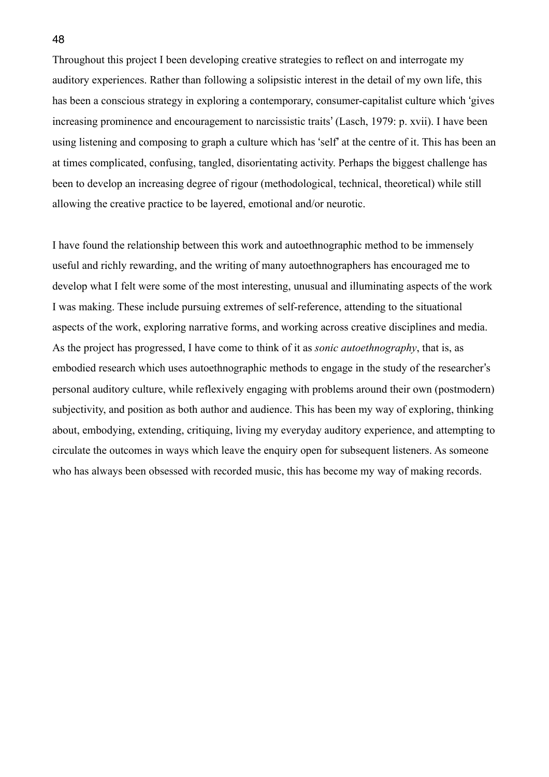Throughout this project I been developing creative strategies to reflect on and interrogate my auditory experiences. Rather than following a solipsistic interest in the detail of my own life, this has been a conscious strategy in exploring a contemporary, consumer-capitalist culture which 'gives increasing prominence and encouragement to narcissistic traits' (Lasch, 1979: p. xvii). I have been using listening and composing to graph a culture which has 'self' at the centre of it. This has been an at times complicated, confusing, tangled, disorientating activity. Perhaps the biggest challenge has been to develop an increasing degree of rigour (methodological, technical, theoretical) while still allowing the creative practice to be layered, emotional and/or neurotic.

I have found the relationship between this work and autoethnographic method to be immensely useful and richly rewarding, and the writing of many autoethnographers has encouraged me to develop what I felt were some of the most interesting, unusual and illuminating aspects of the work I was making. These include pursuing extremes of self-reference, attending to the situational aspects of the work, exploring narrative forms, and working across creative disciplines and media. As the project has progressed, I have come to think of it as *sonic autoethnography*, that is, as embodied research which uses autoethnographic methods to engage in the study of the researcher's personal auditory culture, while reflexively engaging with problems around their own (postmodern) subjectivity, and position as both author and audience. This has been my way of exploring, thinking about, embodying, extending, critiquing, living my everyday auditory experience, and attempting to circulate the outcomes in ways which leave the enquiry open for subsequent listeners. As someone who has always been obsessed with recorded music, this has become my way of making records.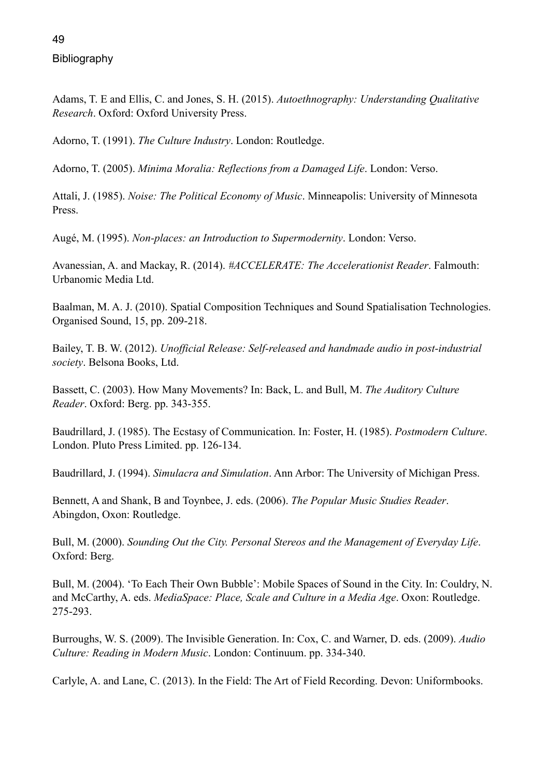Adams, T. E and Ellis, C. and Jones, S. H. (2015). *Autoethnography: Understanding Qualitative Research*. Oxford: Oxford University Press.

Adorno, T. (1991). *The Culture Industry*. London: Routledge.

Adorno, T. (2005). *Minima Moralia: Reflections from a Damaged Life*. London: Verso.

Attali, J. (1985). *Noise: The Political Economy of Music*. Minneapolis: University of Minnesota Press.

Augé, M. (1995). *Non-places: an Introduction to Supermodernity*. London: Verso.

Avanessian, A. and Mackay, R. (2014). *#ACCELERATE: The Accelerationist Reader*. Falmouth: Urbanomic Media Ltd.

Baalman, M. A. J. (2010). Spatial Composition Techniques and Sound Spatialisation Technologies. Organised Sound, 15, pp. 209-218.

Bailey, T. B. W. (2012). *Unofficial Release: Self-released and handmade audio in post-industrial society*. Belsona Books, Ltd.

Bassett, C. (2003). How Many Movements? In: Back, L. and Bull, M. *The Auditory Culture Reader*. Oxford: Berg. pp. 343-355.

Baudrillard, J. (1985). The Ecstasy of Communication. In: Foster, H. (1985). *Postmodern Culture*. London. Pluto Press Limited. pp. 126-134.

Baudrillard, J. (1994). *Simulacra and Simulation*. Ann Arbor: The University of Michigan Press.

Bennett, A and Shank, B and Toynbee, J. eds. (2006). *The Popular Music Studies Reader*. Abingdon, Oxon: Routledge.

Bull, M. (2000). *Sounding Out the City. Personal Stereos and the Management of Everyday Life*. Oxford: Berg.

Bull, M. (2004). 'To Each Their Own Bubble': Mobile Spaces of Sound in the City. In: Couldry, N. and McCarthy, A. eds. *MediaSpace: Place, Scale and Culture in a Media Age*. Oxon: Routledge. 275-293.

Burroughs, W. S. (2009). The Invisible Generation. In: Cox, C. and Warner, D. eds. (2009). *Audio Culture: Reading in Modern Music*. London: Continuum. pp. 334-340.

Carlyle, A. and Lane, C. (2013). In the Field: The Art of Field Recording. Devon: Uniformbooks.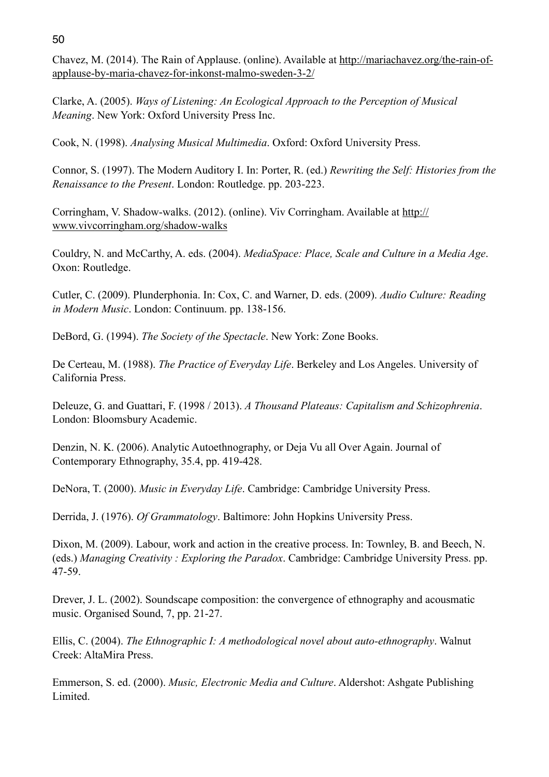[Chavez, M. \(2014\). The Rain of Applause. \(online\). Available at http://mariachavez.org/the-rain-of](http://mariachavez.org/the-rain-of-applause-by-maria-chavez-for-inkonst-malmo-sweden-3-2/)applause-by-maria-chavez-for-inkonst-malmo-sweden-3-2/

Clarke, A. (2005). *Ways of Listening: An Ecological Approach to the Perception of Musical Meaning*. New York: Oxford University Press Inc.

Cook, N. (1998). *Analysing Musical Multimedia*. Oxford: Oxford University Press.

Connor, S. (1997). The Modern Auditory I. In: Porter, R. (ed.) *Rewriting the Self: Histories from the Renaissance to the Present*. London: Routledge. pp. 203-223.

[Corringham, V. Shadow-walks. \(2012\). \(online\). Viv Corringham. Available at http://](http://www.vivcorringham.org/shadow-walks) www.vivcorringham.org/shadow-walks

Couldry, N. and McCarthy, A. eds. (2004). *MediaSpace: Place, Scale and Culture in a Media Age*. Oxon: Routledge.

Cutler, C. (2009). Plunderphonia. In: Cox, C. and Warner, D. eds. (2009). *Audio Culture: Reading in Modern Music*. London: Continuum. pp. 138-156.

DeBord, G. (1994). *The Society of the Spectacle*. New York: Zone Books.

De Certeau, M. (1988). *The Practice of Everyday Life*. Berkeley and Los Angeles. University of California Press.

Deleuze, G. and Guattari, F. (1998 / 2013). *A Thousand Plateaus: Capitalism and Schizophrenia*. London: Bloomsbury Academic.

Denzin, N. K. (2006). Analytic Autoethnography, or Deja Vu all Over Again. Journal of Contemporary Ethnography, 35.4, pp. 419-428.

DeNora, T. (2000). *Music in Everyday Life*. Cambridge: Cambridge University Press.

Derrida, J. (1976). *Of Grammatology*. Baltimore: John Hopkins University Press.

Dixon, M. (2009). Labour, work and action in the creative process. In: Townley, B. and Beech, N. (eds.) *Managing Creativity : Exploring the Paradox*. Cambridge: Cambridge University Press. pp. 47-59.

Drever, J. L. (2002). Soundscape composition: the convergence of ethnography and acousmatic music. Organised Sound, 7, pp. 21-27.

Ellis, C. (2004). *The Ethnographic I: A methodological novel about auto-ethnography*. Walnut Creek: AltaMira Press.

Emmerson, S. ed. (2000). *Music, Electronic Media and Culture*. Aldershot: Ashgate Publishing Limited.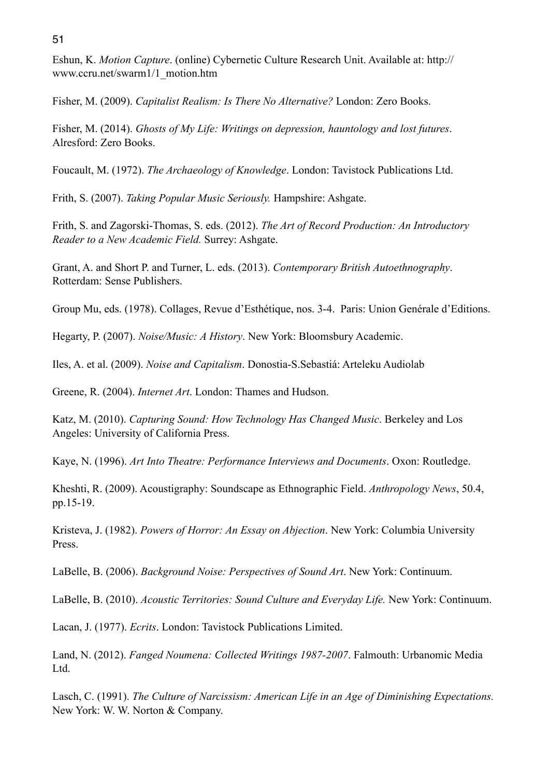Eshun, K. *Motion Capture*. (online) Cybernetic Culture Research Unit. Available at: http:// www.ccru.net/swarm1/1\_motion.htm

Fisher, M. (2009). *Capitalist Realism: Is There No Alternative?* London: Zero Books.

Fisher, M. (2014). *Ghosts of My Life: Writings on depression, hauntology and lost futures*. Alresford: Zero Books.

Foucault, M. (1972). *The Archaeology of Knowledge*. London: Tavistock Publications Ltd.

Frith, S. (2007). *Taking Popular Music Seriously.* Hampshire: Ashgate.

Frith, S. and Zagorski-Thomas, S. eds. (2012). *The Art of Record Production: An Introductory Reader to a New Academic Field.* Surrey: Ashgate.

Grant, A. and Short P. and Turner, L. eds. (2013). *Contemporary British Autoethnography*. Rotterdam: Sense Publishers.

Group Mu, eds. (1978). Collages, Revue d'Esthétique, nos. 3-4. Paris: Union Genérale d'Editions.

Hegarty, P. (2007). *Noise/Music: A History*. New York: Bloomsbury Academic.

Iles, A. et al. (2009). *Noise and Capitalism*. Donostia-S.Sebastiá: Arteleku Audiolab

Greene, R. (2004). *Internet Art*. London: Thames and Hudson.

Katz, M. (2010). *Capturing Sound: How Technology Has Changed Music*. Berkeley and Los Angeles: University of California Press.

Kaye, N. (1996). *Art Into Theatre: Performance Interviews and Documents*. Oxon: Routledge.

Kheshti, R. (2009). Acoustigraphy: Soundscape as Ethnographic Field. *Anthropology News*, 50.4, pp.15-19.

Kristeva, J. (1982). *Powers of Horror: An Essay on Abjection*. New York: Columbia University Press.

LaBelle, B. (2006). *Background Noise: Perspectives of Sound Art*. New York: Continuum.

LaBelle, B. (2010). *Acoustic Territories: Sound Culture and Everyday Life.* New York: Continuum.

Lacan, J. (1977). *Ecrits*. London: Tavistock Publications Limited.

Land, N. (2012). *Fanged Noumena: Collected Writings 1987-2007*. Falmouth: Urbanomic Media Ltd.

Lasch, C. (1991). *The Culture of Narcissism: American Life in an Age of Diminishing Expectations.* New York: W. W. Norton & Company.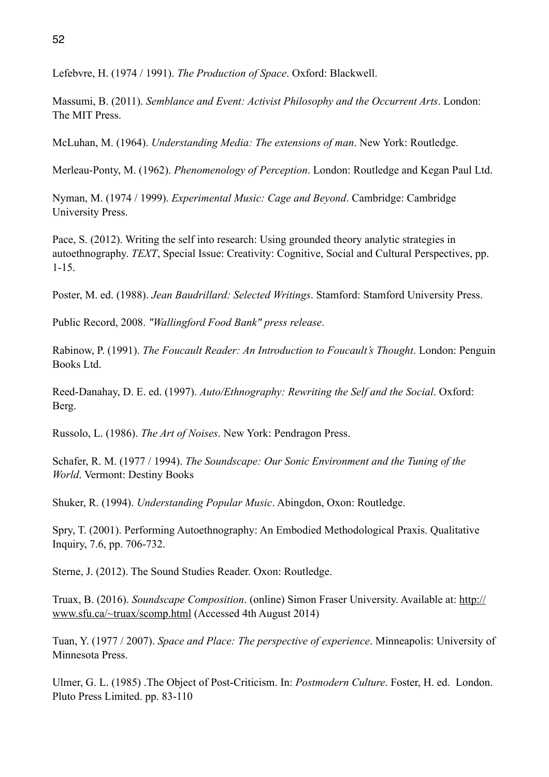Lefebvre, H. (1974 / 1991). *The Production of Space*. Oxford: Blackwell.

Massumi, B. (2011). *Semblance and Event: Activist Philosophy and the Occurrent Arts*. London: The MIT Press.

McLuhan, M. (1964). *Understanding Media: The extensions of man*. New York: Routledge.

Merleau-Ponty, M. (1962). *Phenomenology of Perception*. London: Routledge and Kegan Paul Ltd.

Nyman, M. (1974 / 1999). *Experimental Music: Cage and Beyond*. Cambridge: Cambridge University Press.

Pace, S. (2012). Writing the self into research: Using grounded theory analytic strategies in autoethnography. *TEXT*, Special Issue: Creativity: Cognitive, Social and Cultural Perspectives, pp. 1-15.

Poster, M. ed. (1988). *Jean Baudrillard: Selected Writings*. Stamford: Stamford University Press.

Public Record, 2008. *"Wallingford Food Bank" press release*.

Rabinow, P. (1991). *The Foucault Reader: An Introduction to Foucault's Thought*. London: Penguin Books Ltd.

Reed-Danahay, D. E. ed. (1997). *Auto/Ethnography: Rewriting the Self and the Social*. Oxford: Berg.

Russolo, L. (1986). *The Art of Noises*. New York: Pendragon Press.

Schafer, R. M. (1977 / 1994). *The Soundscape: Our Sonic Environment and the Tuning of the World*. Vermont: Destiny Books

Shuker, R. (1994). *Understanding Popular Music*. Abingdon, Oxon: Routledge.

Spry, T. (2001). Performing Autoethnography: An Embodied Methodological Praxis. Qualitative Inquiry, 7.6, pp. 706-732.

Sterne, J. (2012). The Sound Studies Reader. Oxon: Routledge.

Truax, B. (2016). *Soundscape Composition*. (online) Simon Fraser University. Available at: http:// [www.sfu.ca/~truax/scomp.html \(Accessed 4th August 2014\)](http://www.sfu.ca/~truax/scomp.html) 

Tuan, Y. (1977 / 2007). *Space and Place: The perspective of experience*. Minneapolis: University of Minnesota Press.

Ulmer, G. L. (1985) .The Object of Post-Criticism. In: *Postmodern Culture*. Foster, H. ed. London. Pluto Press Limited. pp. 83-110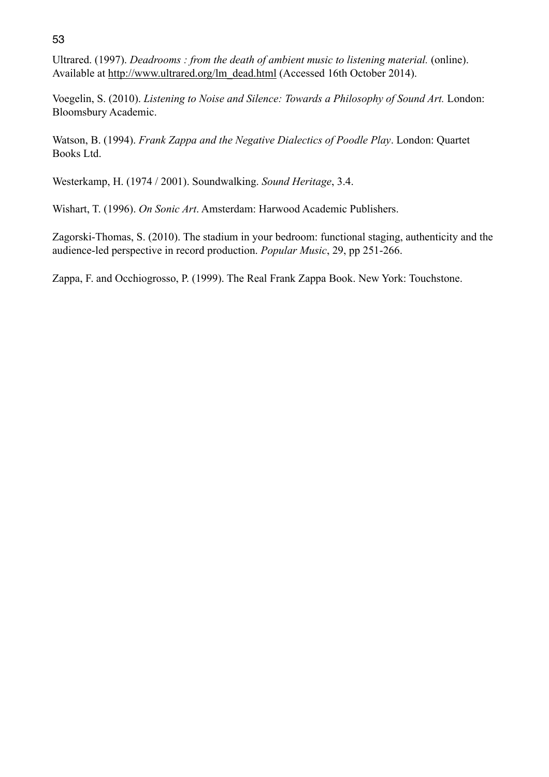Ultrared. (1997). *Deadrooms : from the death of ambient music to listening material.* (online). Available at [http://www.ultrared.org/lm\\_dead.html](http://www.ultrared.org/lm_dead.html) (Accessed 16th October 2014).

Voegelin, S. (2010). *Listening to Noise and Silence: Towards a Philosophy of Sound Art.* London: Bloomsbury Academic.

Watson, B. (1994). *Frank Zappa and the Negative Dialectics of Poodle Play*. London: Quartet Books Ltd.

Westerkamp, H. (1974 / 2001). Soundwalking. *Sound Heritage*, 3.4.

Wishart, T. (1996). *On Sonic Art*. Amsterdam: Harwood Academic Publishers.

Zagorski-Thomas, S. (2010). The stadium in your bedroom: functional staging, authenticity and the audience-led perspective in record production. *Popular Music*, 29, pp 251-266.

Zappa, F. and Occhiogrosso, P. (1999). The Real Frank Zappa Book. New York: Touchstone.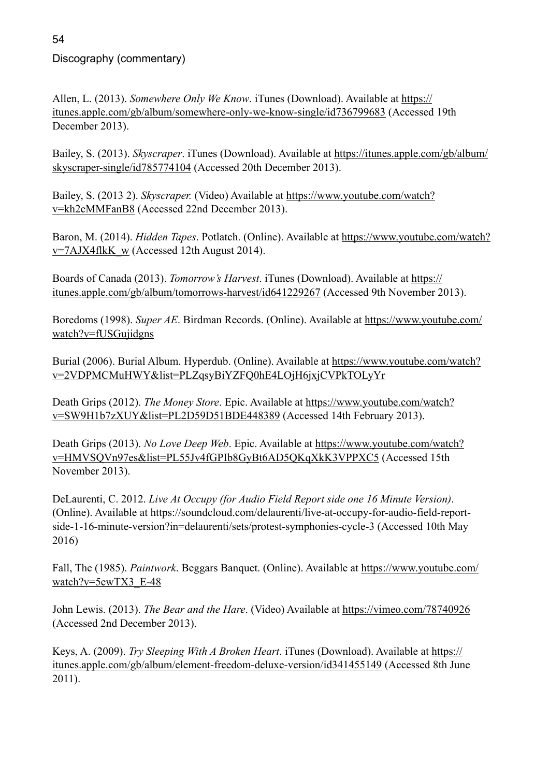Allen, L. (2013). *Somewhere Only We Know*. iTunes (Download). Available at https:// [itunes.apple.com/gb/album/somewhere-only-we-know-single/id736799683 \(Accessed](https://itunes.apple.com/gb/album/somewhere-only-we-know-single/id736799683) 19th December 2013).

Bailey, S. (2013). *Skyscraper*[. iTunes \(Download\). Available at https://itunes.apple.com/gb/album/](https://itunes.apple.com/gb/album/skyscraper-single/id785774104) skyscraper-single/id785774104 (Accessed 20th December 2013).

Bailey, S. (2013 2). *Skyscraper.* [\(Video\) Available at https://www.youtube.com/watch?](https://www.youtube.com/watch?v=kh2cMMFanB8) v=kh2cMMFanB8 (Accessed 22nd December 2013).

Baron, M. (2014). *Hidden Tapes*[. Potlatch. \(Online\). Available at https://www.youtube.com/watch?](https://www.youtube.com/watch?v=7AJX4flkK_w) v=7AJX4flkK\_w (Accessed 12th August 2014).

Boards of Canada (2013). *Tomorrow's Harvest*. iTunes (Download). Available at https:// [itunes.apple.com/gb/album/tomorrows-harvest/id641229267 \(Accessed 9th November 2](https://itunes.apple.com/gb/album/tomorrows-harvest/id641229267)013).

Boredoms (1998). *Super AE*[. Birdman Records. \(Online\). Available at https://www.youtube.com/](https://www.youtube.com/watch?v=fUSGujidgns) watch?v=fUSGujidgns

[Burial \(2006\). Burial Album. Hyperdub. \(Online\). Available at https://www.youtube.com/watch?](https://www.youtube.com/watch?v=2VDPMCMuHWY&list=PLZqsyBiYZFQ0hE4LOjH6jxjCVPkTOLyYr) v=2VDPMCMuHWY&list=PLZqsyBiYZFQ0hE4LOjH6jxjCVPkTOLyYr

Death Grips (2012). *The Money Store*. Epic. Available at https://www.youtube.com/watch? [v=SW9H1b7zXUY&list=PL2D59D51BDE448389 \(Accessed 14th February 2013\).](https://www.youtube.com/watch?v=SW9H1b7zXUY&list=PL2D59D51BDE448389) 

Death Grips (2013). *No Love Deep Web*. Epic. Available at https://www.youtube.com/watch? [v=HMVSQVn97es&list=PL55Jv4fGPIb8GyBt6AD5QKqXkK3VPPXC5 \(Accessed 15th](https://www.youtube.com/watch?v=HMVSQVn97es&list=PL55Jv4fGPIb8GyBt6AD5QKqXkK3VPPXC5)  November 2013).

DeLaurenti, C. 2012. *Live At Occupy (for Audio Field Report side one 16 Minute Version)*. (Online). Available at https://soundcloud.com/delaurenti/live-at-occupy-for-audio-field-reportside-1-16-minute-version?in=delaurenti/sets/protest-symphonies-cycle-3 (Accessed 10th May 2016)

Fall, The (1985). *Paintwork*[. Beggars Banquet. \(Online\). Available at https://www.youtube.com/](https://www.youtube.com/watch?v=5ewTX3_E-48) watch?v=5ewTX3\_E-48

John Lewis. (2013). *The Bear and the Hare*. (Video) Available at<https://vimeo.com/78740926> (Accessed 2nd December 2013).

Keys, A. (2009). *Try Sleeping With A Broken Heart*. iTunes (Download). Available at https:// [itunes.apple.com/gb/album/element-freedom-deluxe-version/id341455149 \(Accessed 8th Jun](https://itunes.apple.com/gb/album/element-freedom-deluxe-version/id341455149)e 2011).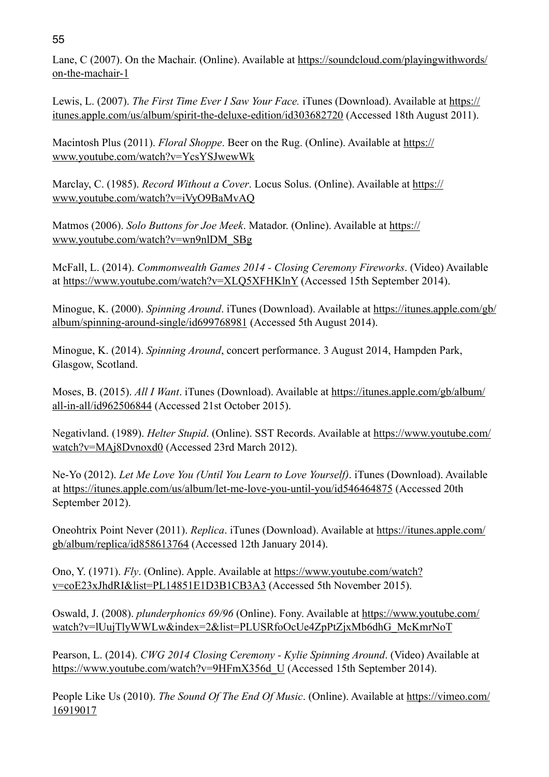[Lane, C \(2007\). On the Machair. \(Online\). Available at https://soundcloud.com/playingwithwords/](https://soundcloud.com/playingwithwords/on-the-machair-1) on-the-machair-1

Lewis, L. (2007). *The First Time Ever I Saw Your Face.* iTunes (Download). Available at https:// [itunes.apple.com/us/album/spirit-the-deluxe-edition/id303682720 \(Accessed 18th August 2011\).](https://itunes.apple.com/us/album/spirit-the-deluxe-edition/id303682720) 

Macintosh Plus (2011). *Floral Shoppe*[. Beer on the Rug. \(Online\). Available at https://](https://www.youtube.com/watch?v=YcsYSJwewWk) www.youtube.com/watch?v=YcsYSJwewWk

Marclay, C. (1985). *Record Without a Cover*. Locus Solus. (Online). Available at https:// [www.youtube.com/watch?v=iVyO9BaMvAQ](https://www.youtube.com/watch?v=iVyO9BaMvAQ)

Matmos (2006). *Solo Buttons for Joe Meek*. Matador. (Online). Available at https:// [www.youtube.com/watch?v=wn9nlDM\\_SBg](https://www.youtube.com/watch?v=wn9nlDM_SBg)

McFall, L. (2014). *Commonwealth Games 2014 - Closing Ceremony Fireworks*. (Video) Available at<https://www.youtube.com/watch?v=XLQ5XFHKlnY> (Accessed 15th September 2014).

Minogue, K. (2000). *Spinning Around*. iTunes (Download). Available at https://itunes.apple.com/gb/ [album/spinning-around-single/id699768981 \(Accessed 5th August 2014\).](https://itunes.apple.com/gb/album/spinning-around-single/id699768981) 

Minogue, K. (2014). *Spinning Around*, concert performance. 3 August 2014, Hampden Park, Glasgow, Scotland.

Moses, B. (2015). *All I Want*[. iTunes \(Download\). Available at https://itunes.apple.com/gb/album/](https://itunes.apple.com/gb/album/all-in-all/id962506844) all-in-all/id962506844 (Accessed 21st October 2015).

Negativland. (1989). *Helter Stupid*[. \(Online\). SST Records. Available at https://www.youtube.com/](https://www.youtube.com/watch?v=MAj8Dvnoxd0) watch?v=MAj8Dvnoxd0 (Accessed 23rd March 2012).

Ne-Yo (2012). *Let Me Love You (Until You Learn to Love Yourself)*. iTunes (Download). Available at<https://itunes.apple.com/us/album/let-me-love-you-until-you/id546464875>(Accessed 20th September 2012).

Oneohtrix Point Never (2011). *Replica*. iTunes (Download). Available at https://itunes.apple.com/ [gb/album/replica/id858613764 \(Accessed 12th January 2014\).](https://itunes.apple.com/gb/album/replica/id858613764) 

Ono, Y. (1971). *Fly*. (Online). Apple. Available at https://www.youtube.com/watch? [v=coE23xJhdRI&list=PL14851E1D3B1CB3A3 \(Accessed 5th November 2015\).](https://www.youtube.com/watch?v=coE23xJhdRI&list=PL14851E1D3B1CB3A3) 

Oswald, J. (2008). *plunderphonics 69/96* (Online). Fony. Available at https://www.youtube.com/ [watch?v=lUujTlyWWLw&index=2&list=PLUSRfoOcUe4ZpPtZjxMb6dhG\\_McKmrNoT](https://www.youtube.com/watch?v=lUujTlyWWLw&index=2&list=PLUSRfoOcUe4ZpPtZjxMb6dhG_McKmrNoT) 

Pearson, L. (2014). *CWG 2014 Closing Ceremony - Kylie Spinning Around*. (Video) Available at [https://www.youtube.com/watch?v=9HFmX356d\\_U](https://www.youtube.com/watch?v=9HFmX356d_U) (Accessed 15th September 2014).

People Like Us (2010). *The Sound Of The End Of Music*[. \(Online\). Available at https://vimeo.com/](https://vimeo.com/16919017) 16919017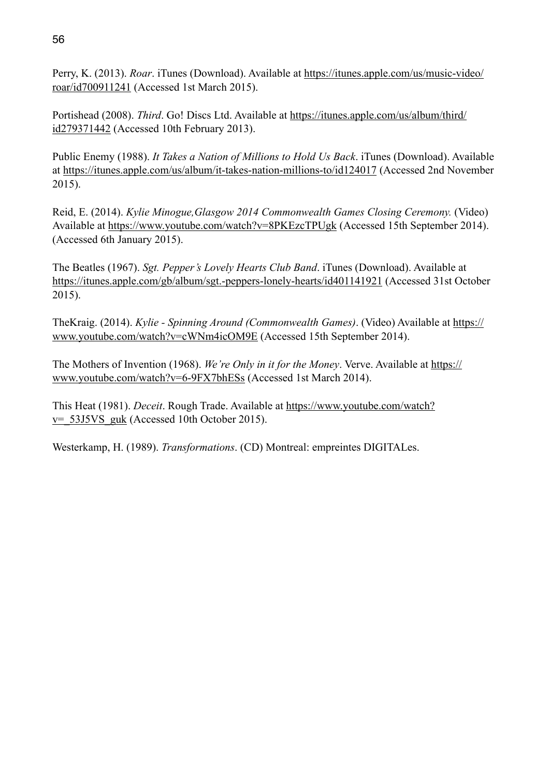Perry, K. (2013). *Roar*[. iTunes \(Download\). Available at https://itunes.apple.com/us/music-video/](https://itunes.apple.com/us/music-video/roar/id700911241) roar/id700911241 (Accessed 1st March 2015).

Portishead (2008). *Third*[. Go! Discs Ltd. Available at https://itunes.apple.com/us/album/third/](https://itunes.apple.com/us/album/third/id279371442) id279371442 (Accessed 10th February 2013).

Public Enemy (1988). *It Takes a Nation of Millions to Hold Us Back*. iTunes (Download). Available at<https://itunes.apple.com/us/album/it-takes-nation-millions-to/id124017> (Accessed 2nd November 2015).

Reid, E. (2014). *Kylie Minogue,Glasgow 2014 Commonwealth Games Closing Ceremony.* (Video) Available at<https://www.youtube.com/watch?v=8PKEzcTPUgk> (Accessed 15th September 2014). (Accessed 6th January 2015).

The Beatles (1967). *Sgt. Pepper's Lovely Hearts Club Band*. iTunes (Download). Available at <https://itunes.apple.com/gb/album/sgt.-peppers-lonely-hearts/id401141921>(Accessed 31st October 2015).

TheKraig. (2014). *Kylie - Spinning Around (Commonwealth Games)*. (Video) Available at https:// [www.youtube.com/watch?v=cWNm4icOM9E \(Accessed 15th September 2014\).](https://www.youtube.com/watch?v=cWNm4icOM9E) 

The Mothers of Invention (1968). *We're Only in it for the Money*. Verve. Available at https:// [www.youtube.com/watch?v=6-9FX7bhESs \(Accessed 1st March 2014\).](https://www.youtube.com/watch?v=6-9FX7bhESs) 

This Heat (1981). *Deceit*[. Rough Trade. Available at https://www.youtube.com/watch?](https://www.youtube.com/watch?v=_53J5VS_guk) v= 53J5VS guk (Accessed 10th October 2015).

Westerkamp, H. (1989). *Transformations*. (CD) Montreal: empreintes DIGITALes.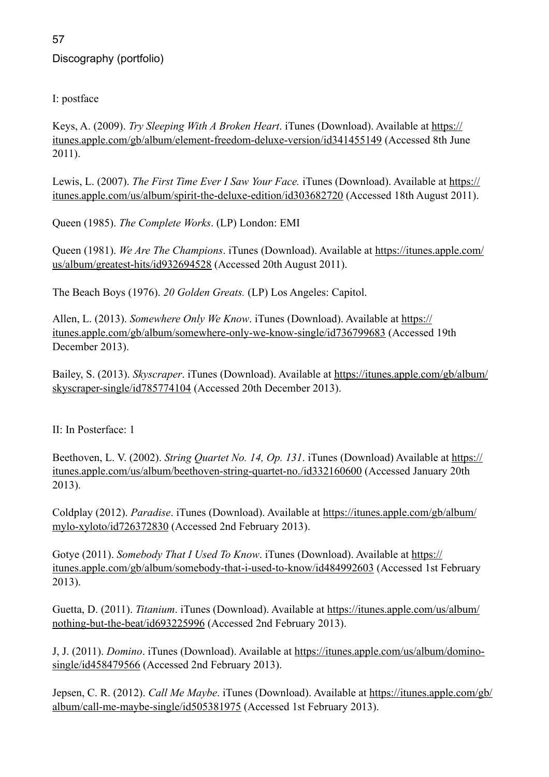### I: postface

Keys, A. (2009). *Try Sleeping With A Broken Heart*. iTunes (Download). Available at https:// [itunes.apple.com/gb/album/element-freedom-deluxe-version/id341455149 \(Accessed 8th Jun](https://itunes.apple.com/gb/album/element-freedom-deluxe-version/id341455149)e 2011).

Lewis, L. (2007). *The First Time Ever I Saw Your Face.* iTunes (Download). Available at https:// [itunes.apple.com/us/album/spirit-the-deluxe-edition/id303682720 \(Accessed 18th August 2011\).](https://itunes.apple.com/us/album/spirit-the-deluxe-edition/id303682720) 

Queen (1985). *The Complete Works*. (LP) London: EMI

Queen (1981). *We Are The Champions*. iTunes (Download). Available at https://itunes.apple.com/ [us/album/greatest-hits/id932694528 \(Accessed 20th August 2011\).](https://itunes.apple.com/us/album/greatest-hits/id932694528) 

The Beach Boys (1976). *20 Golden Greats.* (LP) Los Angeles: Capitol.

Allen, L. (2013). *Somewhere Only We Know*. iTunes (Download). Available at https:// [itunes.apple.com/gb/album/somewhere-only-we-know-single/id736799683 \(Accessed](https://itunes.apple.com/gb/album/somewhere-only-we-know-single/id736799683) 19th December 2013).

Bailey, S. (2013). *Skyscraper*[. iTunes \(Download\). Available at https://itunes.apple.com/gb/album/](https://itunes.apple.com/gb/album/skyscraper-single/id785774104) skyscraper-single/id785774104 (Accessed 20th December 2013).

### II: In Posterface: 1

Beethoven, L. V. (2002). *String Quartet No. 14, Op. 131*. iTunes (Download) Available at https:// [itunes.apple.com/us/album/beethoven-string-quartet-no./id332160600 \(Accessed January 20th](https://itunes.apple.com/us/album/beethoven-string-quartet-no./id332160600)  2013).

Coldplay (2012). *Paradise*[. iTunes \(Download\). Available at https://itunes.apple.com/gb/album/](https://itunes.apple.com/gb/album/mylo-xyloto/id726372830) mylo-xyloto/id726372830 (Accessed 2nd February 2013).

Gotye (2011). *Somebody That I Used To Know*. iTunes (Download). Available at https:// [itunes.apple.com/gb/album/somebody-that-i-used-to-know/id484992603 \(Accessed 1st F](https://itunes.apple.com/gb/album/somebody-that-i-used-to-know/id484992603)ebruary 2013).

Guetta, D. (2011). *Titanium*[. iTunes \(Download\). Available at https://itunes.apple.com/us/album/](https://itunes.apple.com/us/album/nothing-but-the-beat/id693225996) nothing-but-the-beat/id693225996 (Accessed 2nd February 2013).

J, J. (2011). *Domino*[. iTunes \(Download\). Available at https://itunes.apple.com/us/album/domino](https://itunes.apple.com/us/album/domino-single/id458479566)single/id458479566 (Accessed 2nd February 2013).

Jepsen, C. R. (2012). *Call Me Maybe*. iTunes (Download). Available at https://itunes.apple.com/gb/ [album/call-me-maybe-single/id505381975 \(Accessed 1st February 2013\).](https://itunes.apple.com/gb/album/call-me-maybe-single/id505381975)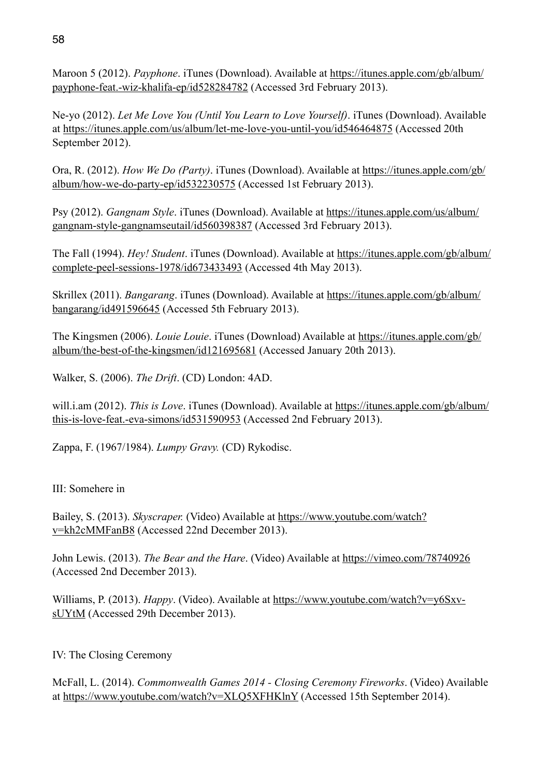Maroon 5 (2012). *Payphone*. iTunes (Download). Available at https://itunes.apple.com/gb/album/ [payphone-feat.-wiz-khalifa-ep/id528284782 \(Accessed 3rd February 2013\).](https://itunes.apple.com/gb/album/payphone-feat.-wiz-khalifa-ep/id528284782) 

Ne-yo (2012). *Let Me Love You (Until You Learn to Love Yourself)*. iTunes (Download). Available at<https://itunes.apple.com/us/album/let-me-love-you-until-you/id546464875>(Accessed 20th September 2012).

Ora, R. (2012). *How We Do (Party)*. iTunes (Download). Available at https://itunes.apple.com/gb/ [album/how-we-do-party-ep/id532230575 \(Accessed 1st February 2013\).](https://itunes.apple.com/gb/album/how-we-do-party-ep/id532230575) 

Psy (2012). *Gangnam Style*. iTunes (Download). Available at https://itunes.apple.com/us/album/ [gangnam-style-gangnamseutail/id560398387 \(Accessed 3rd February 2013\).](https://itunes.apple.com/us/album/gangnam-style-gangnamseutail/id560398387) 

The Fall (1994). *Hey! Student*. iTunes (Download). Available at https://itunes.apple.com/gb/album/ [complete-peel-sessions-1978/id673433493 \(Accessed 4th May 2013\).](https://itunes.apple.com/gb/album/complete-peel-sessions-1978/id673433493) 

Skrillex (2011). *Bangarang*[. iTunes \(Download\). Available at https://itunes.apple.com/gb/album/](https://itunes.apple.com/gb/album/bangarang/id491596645) bangarang/id491596645 (Accessed 5th February 2013).

The Kingsmen (2006). *Louie Louie*. iTunes (Download) Available at https://itunes.apple.com/gb/ [album/the-best-of-the-kingsmen/id121695681 \(Accessed January 20th 2013\).](https://itunes.apple.com/gb/album/the-best-of-the-kingsmen/id121695681) 

Walker, S. (2006). *The Drift*. (CD) London: 4AD.

will.i.am (2012). *This is Love*. iTunes (Download). Available at https://itunes.apple.com/gb/album/ [this-is-love-feat.-eva-simons/id531590953 \(Accessed 2nd February 2013\).](https://itunes.apple.com/gb/album/this-is-love-feat.-eva-simons/id531590953) 

Zappa, F. (1967/1984). *Lumpy Gravy.* (CD) Rykodisc.

III: Somehere in

Bailey, S. (2013). *Skyscraper.* [\(Video\) Available at https://www.youtube.com/watch?](https://www.youtube.com/watch?v=kh2cMMFanB8) v=kh2cMMFanB8 (Accessed 22nd December 2013).

John Lewis. (2013). *The Bear and the Hare*. (Video) Available at<https://vimeo.com/78740926> (Accessed 2nd December 2013).

Williams, P. (2013). *Happy*[. \(Video\). Available at https://www.youtube.com/watch?v=y6Sxv](https://www.youtube.com/watch?v=y6Sxv-sUYtM)sUYtM (Accessed 29th December 2013).

IV: The Closing Ceremony

McFall, L. (2014). *Commonwealth Games 2014 - Closing Ceremony Fireworks*. (Video) Available at<https://www.youtube.com/watch?v=XLQ5XFHKlnY> (Accessed 15th September 2014).